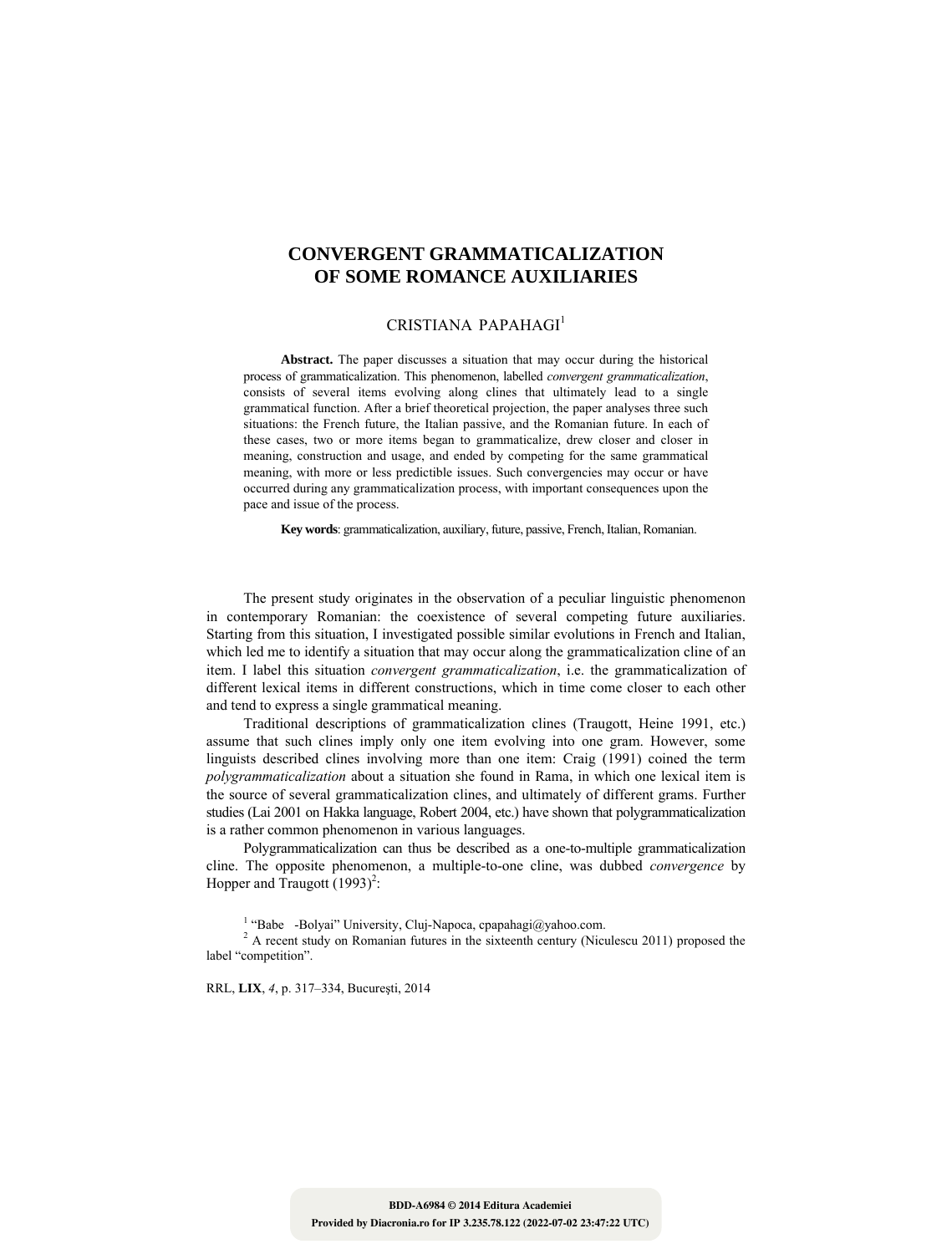# **CONVERGENT GRAMMATICALIZATION OF SOME ROMANCE AUXILIARIES**

## CRISTIANA PAPAHAGI<sup>1</sup>

**Abstract.** The paper discusses a situation that may occur during the historical process of grammaticalization. This phenomenon, labelled *convergent grammaticalization*, consists of several items evolving along clines that ultimately lead to a single grammatical function. After a brief theoretical projection, the paper analyses three such situations: the French future, the Italian passive, and the Romanian future. In each of these cases, two or more items began to grammaticalize, drew closer and closer in meaning, construction and usage, and ended by competing for the same grammatical meaning, with more or less predictible issues. Such convergencies may occur or have occurred during any grammaticalization process, with important consequences upon the pace and issue of the process.

**Key words**: grammaticalization, auxiliary, future, passive, French, Italian, Romanian.

The present study originates in the observation of a peculiar linguistic phenomenon in contemporary Romanian: the coexistence of several competing future auxiliaries. Starting from this situation, I investigated possible similar evolutions in French and Italian, which led me to identify a situation that may occur along the grammaticalization cline of an item. I label this situation *convergent grammaticalization*, i.e. the grammaticalization of different lexical items in different constructions, which in time come closer to each other and tend to express a single grammatical meaning.

Traditional descriptions of grammaticalization clines (Traugott, Heine 1991, etc.) assume that such clines imply only one item evolving into one gram. However, some linguists described clines involving more than one item: Craig (1991) coined the term *polygrammaticalization* about a situation she found in Rama, in which one lexical item is the source of several grammaticalization clines, and ultimately of different grams. Further studies (Lai 2001 on Hakka language, Robert 2004, etc.) have shown that polygrammaticalization is a rather common phenomenon in various languages.

Polygrammaticalization can thus be described as a one-to-multiple grammaticalization cline. The opposite phenomenon, a multiple-to-one cline, was dubbed *convergence* by Hopper and Traugott  $(1993)^2$ :

<sup>1</sup> "Babe -Bolyai" University, Cluj-Napoca, cpapahagi@yahoo.com.

 $2A$  recent study on Romanian futures in the sixteenth century (Niculescu 2011) proposed the label "competition".

RRL, **LIX**, *4*, p. 317–334, Bucureşti, 2014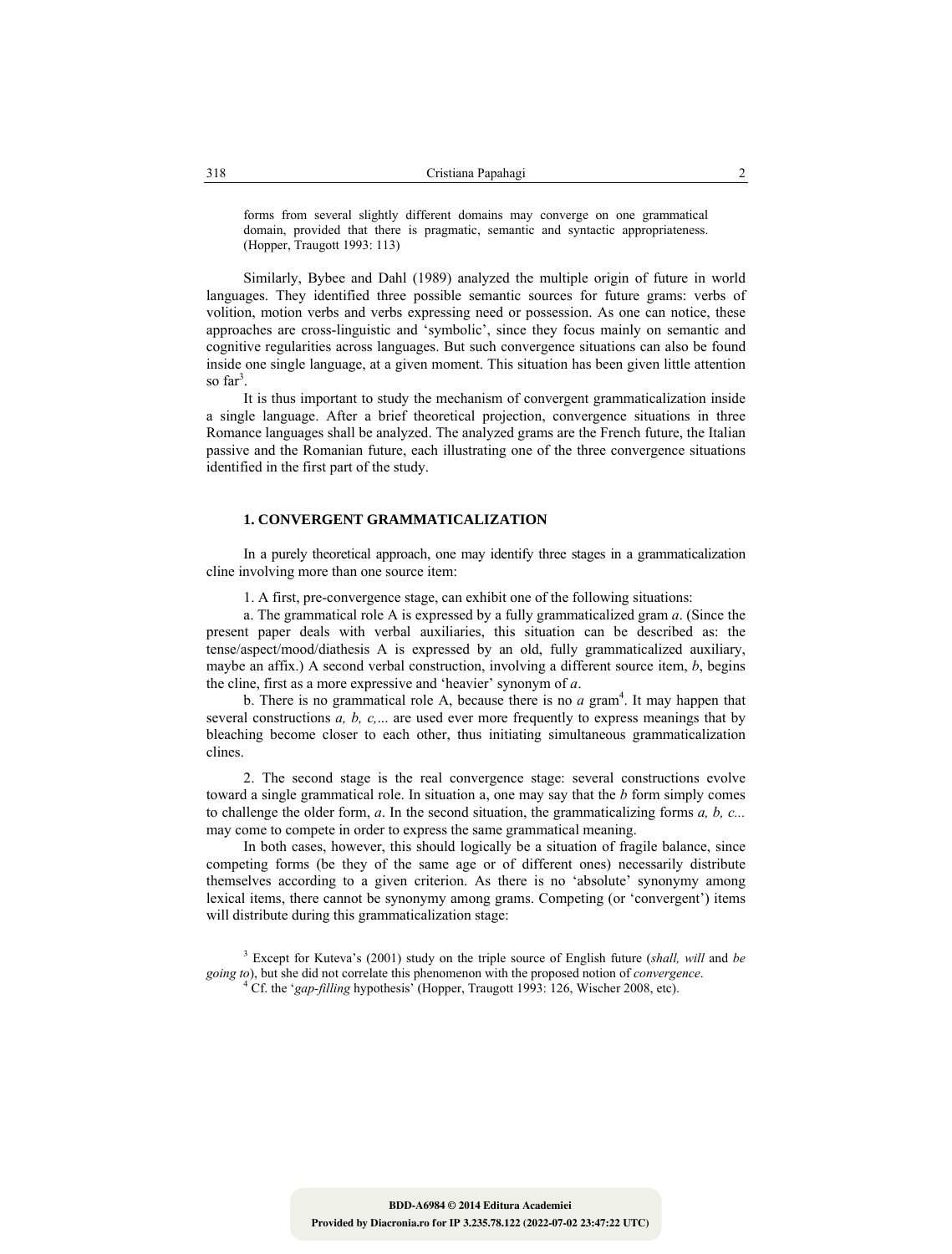forms from several slightly different domains may converge on one grammatical domain, provided that there is pragmatic, semantic and syntactic appropriateness. (Hopper, Traugott 1993: 113)

Similarly, Bybee and Dahl (1989) analyzed the multiple origin of future in world languages. They identified three possible semantic sources for future grams: verbs of volition, motion verbs and verbs expressing need or possession. As one can notice, these approaches are cross-linguistic and 'symbolic', since they focus mainly on semantic and cognitive regularities across languages. But such convergence situations can also be found inside one single language, at a given moment. This situation has been given little attention so  $far^3$ .

It is thus important to study the mechanism of convergent grammaticalization inside a single language. After a brief theoretical projection, convergence situations in three Romance languages shall be analyzed. The analyzed grams are the French future, the Italian passive and the Romanian future, each illustrating one of the three convergence situations identified in the first part of the study.

## **1. CONVERGENT GRAMMATICALIZATION**

In a purely theoretical approach, one may identify three stages in a grammaticalization cline involving more than one source item:

1. A first, pre-convergence stage, can exhibit one of the following situations:

a. The grammatical role A is expressed by a fully grammaticalized gram *a*. (Since the present paper deals with verbal auxiliaries, this situation can be described as: the tense/aspect/mood/diathesis A is expressed by an old, fully grammaticalized auxiliary, maybe an affix.) A second verbal construction, involving a different source item, *b*, begins the cline, first as a more expressive and 'heavier' synonym of *a*.

b. There is no grammatical role A, because there is no  $a$  gram<sup>4</sup>. It may happen that several constructions *a, b, c,*... are used ever more frequently to express meanings that by bleaching become closer to each other, thus initiating simultaneous grammaticalization clines.

2. The second stage is the real convergence stage: several constructions evolve toward a single grammatical role. In situation a, one may say that the *b* form simply comes to challenge the older form, *a*. In the second situation, the grammaticalizing forms *a, b, c...* may come to compete in order to express the same grammatical meaning.

In both cases, however, this should logically be a situation of fragile balance, since competing forms (be they of the same age or of different ones) necessarily distribute themselves according to a given criterion. As there is no 'absolute' synonymy among lexical items, there cannot be synonymy among grams. Competing (or 'convergent') items will distribute during this grammaticalization stage:

<sup>3</sup> Except for Kuteva's (2001) study on the triple source of English future (*shall, will* and *be going to*), but she did not correlate this phenomenon with the proposed notion of *convergence*. <sup>4</sup>

Cf. the '*gap-filling* hypothesis' (Hopper, Traugott 1993: 126, Wischer 2008, etc).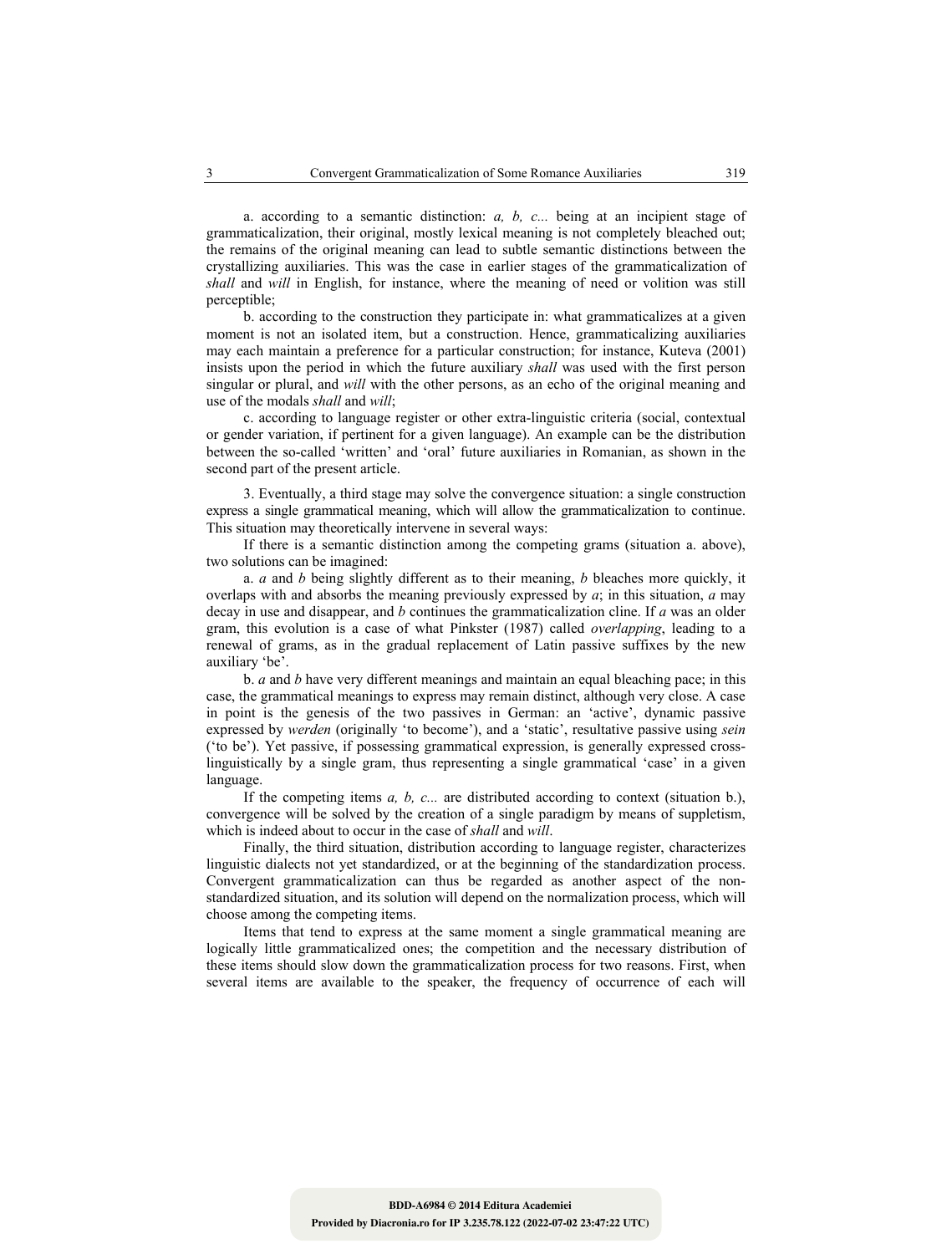a. according to a semantic distinction: *a, b, c...* being at an incipient stage of grammaticalization, their original, mostly lexical meaning is not completely bleached out; the remains of the original meaning can lead to subtle semantic distinctions between the crystallizing auxiliaries. This was the case in earlier stages of the grammaticalization of *shall* and *will* in English, for instance, where the meaning of need or volition was still perceptible;

b. according to the construction they participate in: what grammaticalizes at a given moment is not an isolated item, but a construction. Hence, grammaticalizing auxiliaries may each maintain a preference for a particular construction; for instance, Kuteva (2001) insists upon the period in which the future auxiliary *shall* was used with the first person singular or plural, and *will* with the other persons, as an echo of the original meaning and use of the modals *shall* and *will*;

c. according to language register or other extra-linguistic criteria (social, contextual or gender variation, if pertinent for a given language). An example can be the distribution between the so-called 'written' and 'oral' future auxiliaries in Romanian, as shown in the second part of the present article.

3. Eventually, a third stage may solve the convergence situation: a single construction express a single grammatical meaning, which will allow the grammaticalization to continue. This situation may theoretically intervene in several ways:

If there is a semantic distinction among the competing grams (situation a. above), two solutions can be imagined:

a. *a* and *b* being slightly different as to their meaning, *b* bleaches more quickly, it overlaps with and absorbs the meaning previously expressed by *a*; in this situation, *a* may decay in use and disappear, and *b* continues the grammaticalization cline. If *a* was an older gram, this evolution is a case of what Pinkster (1987) called *overlapping*, leading to a renewal of grams, as in the gradual replacement of Latin passive suffixes by the new auxiliary 'be'.

b. *a* and *b* have very different meanings and maintain an equal bleaching pace; in this case, the grammatical meanings to express may remain distinct, although very close. A case in point is the genesis of the two passives in German: an 'active', dynamic passive expressed by *werden* (originally 'to become'), and a 'static', resultative passive using *sein* ('to be'). Yet passive, if possessing grammatical expression, is generally expressed crosslinguistically by a single gram, thus representing a single grammatical 'case' in a given language.

If the competing items *a, b, c...* are distributed according to context (situation b.), convergence will be solved by the creation of a single paradigm by means of suppletism, which is indeed about to occur in the case of *shall* and *will*.

Finally, the third situation, distribution according to language register, characterizes linguistic dialects not yet standardized, or at the beginning of the standardization process. Convergent grammaticalization can thus be regarded as another aspect of the nonstandardized situation, and its solution will depend on the normalization process, which will choose among the competing items.

Items that tend to express at the same moment a single grammatical meaning are logically little grammaticalized ones; the competition and the necessary distribution of these items should slow down the grammaticalization process for two reasons. First, when several items are available to the speaker, the frequency of occurrence of each will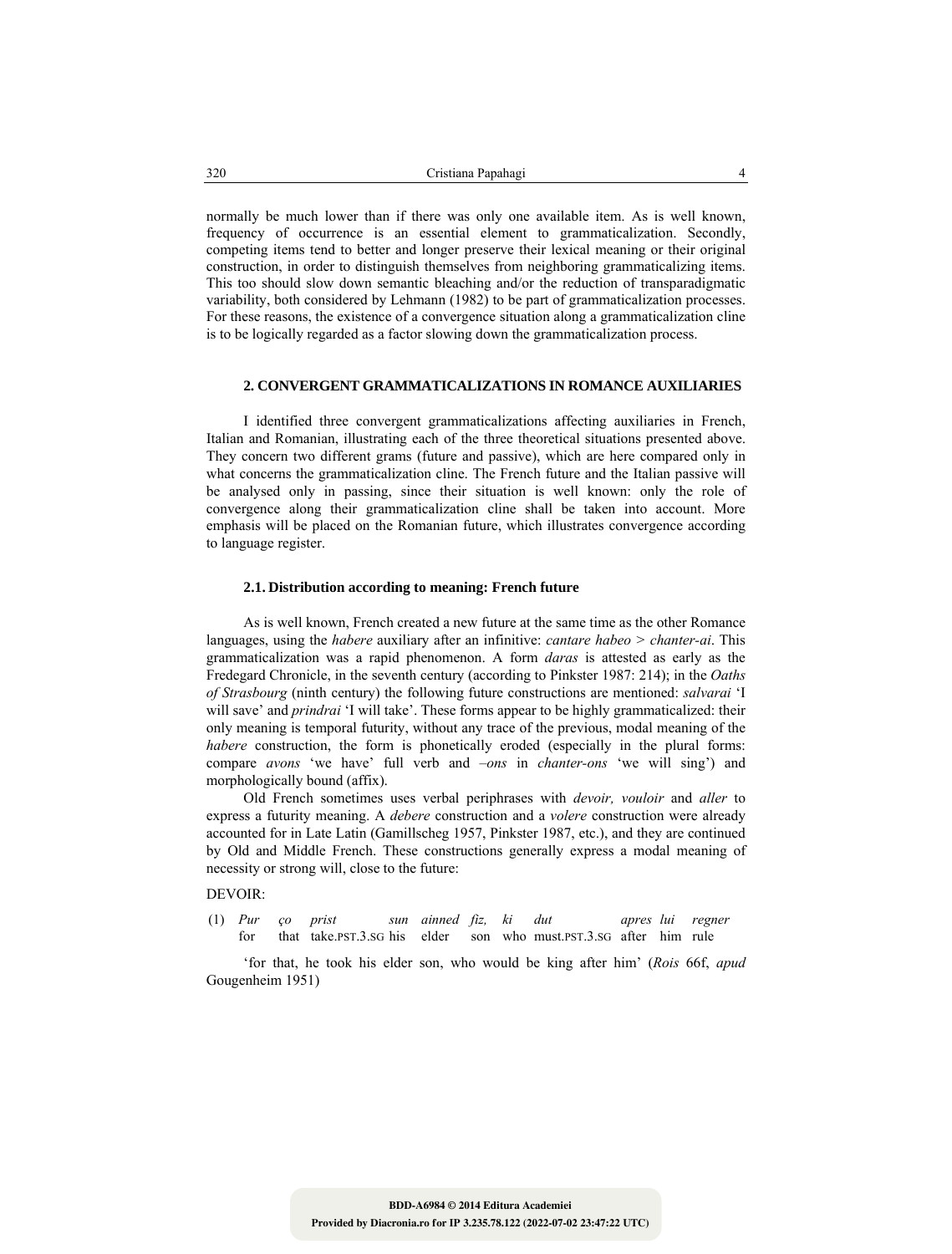normally be much lower than if there was only one available item. As is well known, frequency of occurrence is an essential element to grammaticalization. Secondly, competing items tend to better and longer preserve their lexical meaning or their original construction, in order to distinguish themselves from neighboring grammaticalizing items. This too should slow down semantic bleaching and/or the reduction of transparadigmatic variability, both considered by Lehmann (1982) to be part of grammaticalization processes. For these reasons, the existence of a convergence situation along a grammaticalization cline is to be logically regarded as a factor slowing down the grammaticalization process.

#### **2. CONVERGENT GRAMMATICALIZATIONS IN ROMANCE AUXILIARIES**

I identified three convergent grammaticalizations affecting auxiliaries in French, Italian and Romanian, illustrating each of the three theoretical situations presented above. They concern two different grams (future and passive), which are here compared only in what concerns the grammaticalization cline. The French future and the Italian passive will be analysed only in passing, since their situation is well known: only the role of convergence along their grammaticalization cline shall be taken into account. More emphasis will be placed on the Romanian future, which illustrates convergence according to language register.

#### **2.1. Distribution according to meaning: French future**

As is well known, French created a new future at the same time as the other Romance languages, using the *habere* auxiliary after an infinitive: *cantare habeo > chanter-ai*. This grammaticalization was a rapid phenomenon. A form *daras* is attested as early as the Fredegard Chronicle, in the seventh century (according to Pinkster 1987: 214); in the *Oaths of Strasbourg* (ninth century) the following future constructions are mentioned: *salvarai* 'I will save' and *prindrai* 'I will take'. These forms appear to be highly grammaticalized: their only meaning is temporal futurity, without any trace of the previous, modal meaning of the *habere* construction, the form is phonetically eroded (especially in the plural forms: compare *avons* 'we have' full verb and *–ons* in *chanter-ons* 'we will sing') and morphologically bound (affix).

Old French sometimes uses verbal periphrases with *devoir, vouloir* and *aller* to express a futurity meaning. A *debere* construction and a *volere* construction were already accounted for in Late Latin (Gamillscheg 1957, Pinkster 1987, etc.), and they are continued by Old and Middle French. These constructions generally express a modal meaning of necessity or strong will, close to the future:

#### DEVOIR:

| $(1)$ <i>Pur co prist</i> |  | sun ainned fiz, ki dut |  |                                                                       |  | apres lui regner |
|---------------------------|--|------------------------|--|-----------------------------------------------------------------------|--|------------------|
| for                       |  |                        |  | that take. PST.3. SG his elder son who must. PST.3. SG after him rule |  |                  |

'for that, he took his elder son, who would be king after him' (*Rois* 66f, *apud* Gougenheim 1951)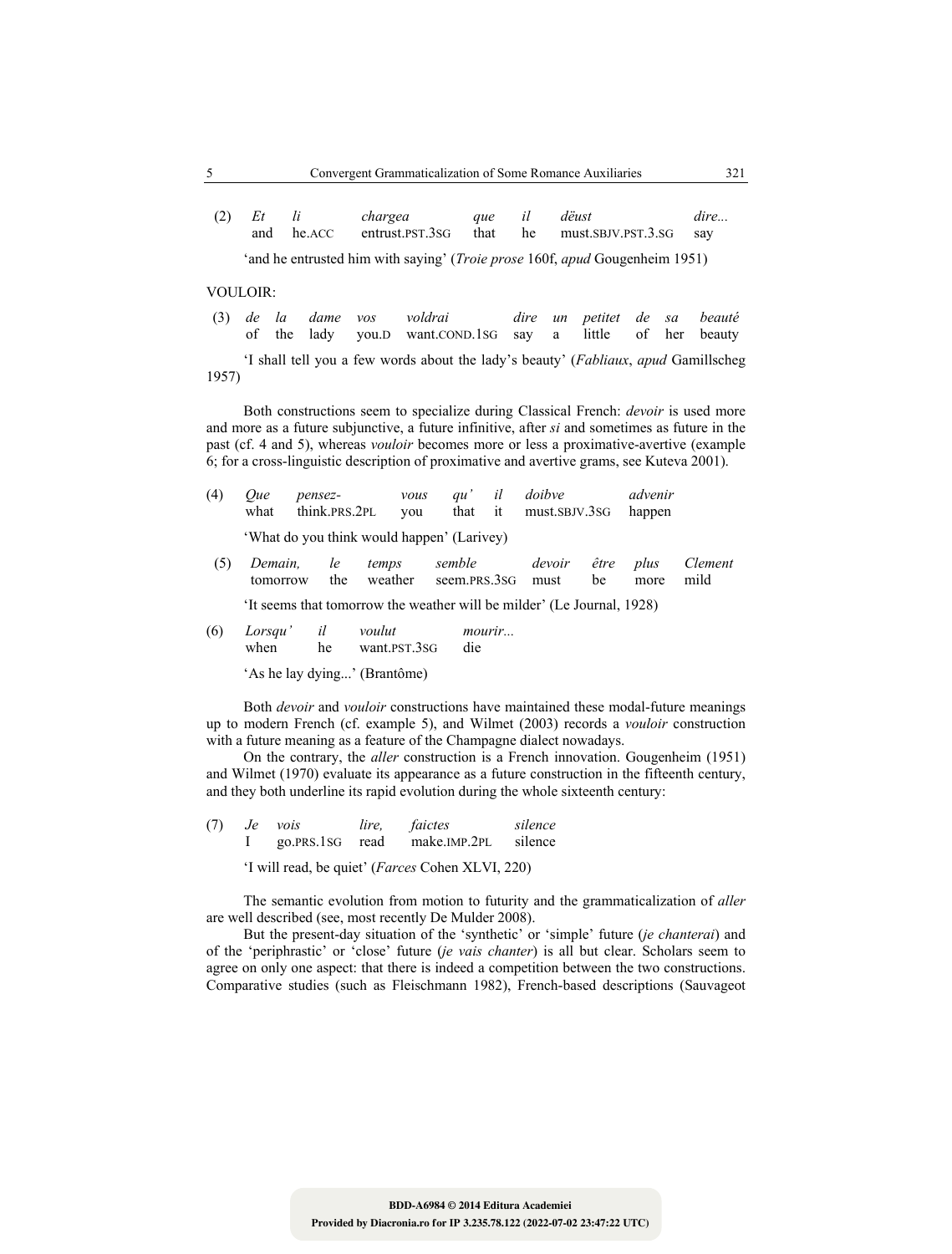| $(2)$ Et | chargea |  | que il dëust                                              | dire |
|----------|---------|--|-----------------------------------------------------------|------|
|          |         |  | and he.ACC entrust.PST.3SG that he must.SBJV.PST.3.SG say |      |

'and he entrusted him with saying' (*Troie prose* 160f, *apud* Gougenheim 1951)

VOULOIR:

|  |  | (3) de la dame vos voldrai                                 |  | dire un petitet de sa beauté |  |  |
|--|--|------------------------------------------------------------|--|------------------------------|--|--|
|  |  | of the lady you.D want.COND.1SG say a little of her beauty |  |                              |  |  |

'I shall tell you a few words about the lady's beauty' (*Fabliaux*, *apud* Gamillscheg 1957)

Both constructions seem to specialize during Classical French: *devoir* is used more and more as a future subjunctive, a future infinitive, after *si* and sometimes as future in the past (cf. 4 and 5), whereas *vouloir* becomes more or less a proximative-avertive (example 6; for a cross-linguistic description of proximative and avertive grams, see Kuteva 2001).

| (4)     | <i>Oue</i><br>what  | pensez- | think.PRS.2PL |       | vous<br>you | au'                                                      | il | doibve<br>that it must.SBJV.3SG                                        |            | advenir<br>happen |                 |
|---------|---------------------|---------|---------------|-------|-------------|----------------------------------------------------------|----|------------------------------------------------------------------------|------------|-------------------|-----------------|
|         |                     |         |               |       |             | 'What do you think would happen' (Larivey)               |    |                                                                        |            |                   |                 |
| $\circ$ | Demain.<br>tomorrow |         | le<br>the     | temps | weather     | semble<br>seem.PRS.3SG                                   |    | devoir<br>must                                                         | être<br>be | plus<br>more      | Clement<br>mild |
|         |                     |         |               |       |             |                                                          |    | 'It seems that tomorrow the weather will be milder' (Le Journal, 1928) |            |                   |                 |
|         |                     |         |               |       |             | $\sqrt{2}$ $I \qquad \frac{1}{2}$ $I \qquad \frac{1}{2}$ |    |                                                                        |            |                   |                 |

| (6) | Lorsqu' |    | voulut       | <i>mourir</i> |
|-----|---------|----|--------------|---------------|
|     | when    | he | want.PST.3SG | die           |

'As he lay dying...' (Brantôme)

Both *devoir* and *vouloir* constructions have maintained these modal-future meanings up to modern French (cf. example 5), and Wilmet (2003) records a *vouloir* construction with a future meaning as a feature of the Champagne dialect nowadays.

On the contrary, the *aller* construction is a French innovation. Gougenheim (1951) and Wilmet (1970) evaluate its appearance as a future construction in the fifteenth century, and they both underline its rapid evolution during the whole sixteenth century:

| (7) | Je vois | lire. | faictes                      | silence |
|-----|---------|-------|------------------------------|---------|
|     |         |       | go.PRS.1SG read make.IMP.2PL | silence |

'I will read, be quiet' (*Farces* Cohen XLVI, 220)

The semantic evolution from motion to futurity and the grammaticalization of *aller* are well described (see, most recently De Mulder 2008).

But the present-day situation of the 'synthetic' or 'simple' future (*je chanterai*) and of the 'periphrastic' or 'close' future (*je vais chanter*) is all but clear. Scholars seem to agree on only one aspect: that there is indeed a competition between the two constructions. Comparative studies (such as Fleischmann 1982), French-based descriptions (Sauvageot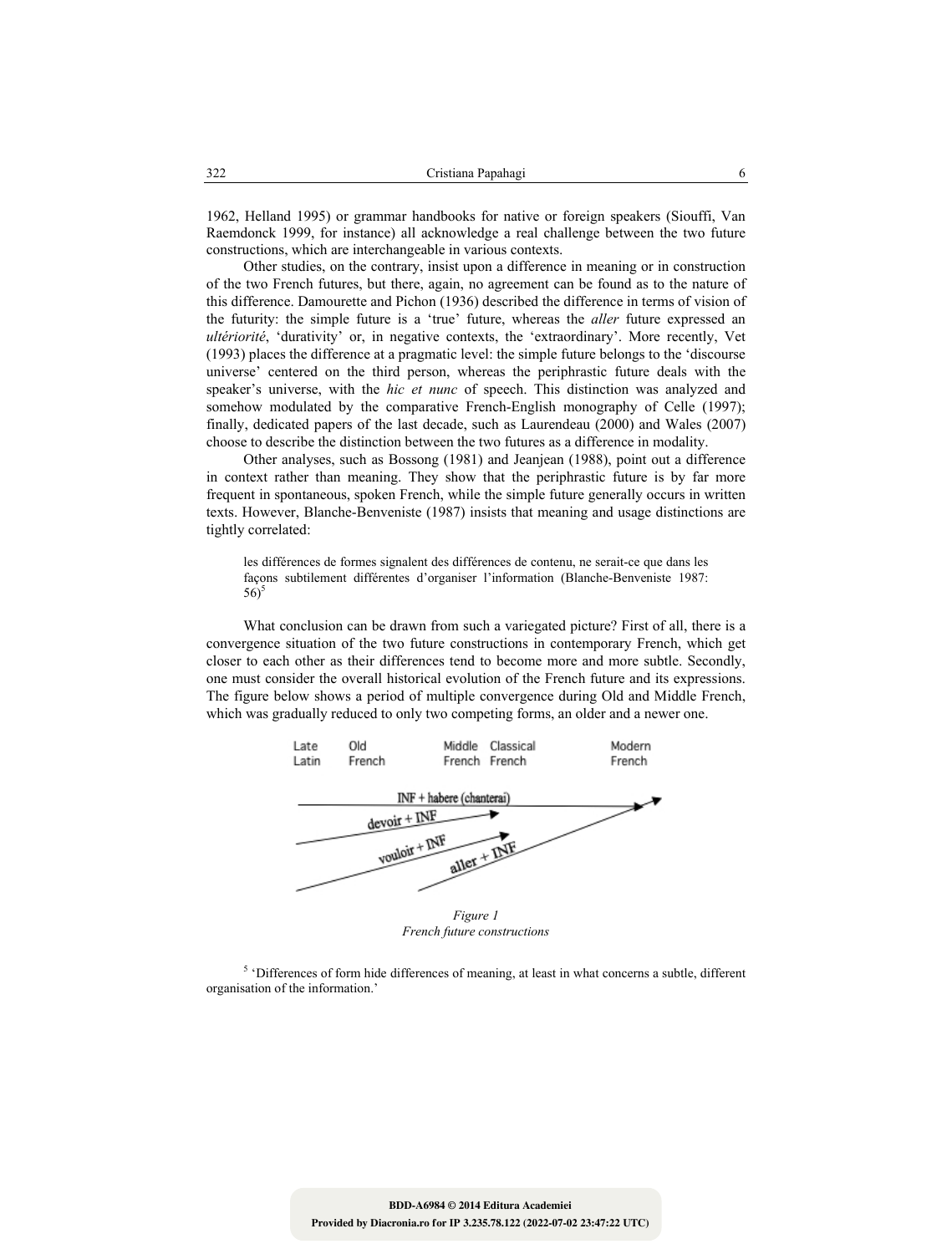1962, Helland 1995) or grammar handbooks for native or foreign speakers (Siouffi, Van Raemdonck 1999, for instance) all acknowledge a real challenge between the two future constructions, which are interchangeable in various contexts.

Other studies, on the contrary, insist upon a difference in meaning or in construction of the two French futures, but there, again, no agreement can be found as to the nature of this difference. Damourette and Pichon (1936) described the difference in terms of vision of the futurity: the simple future is a 'true' future, whereas the *aller* future expressed an *ultériorité*, 'durativity' or, in negative contexts, the 'extraordinary'. More recently, Vet (1993) places the difference at a pragmatic level: the simple future belongs to the 'discourse universe' centered on the third person, whereas the periphrastic future deals with the speaker's universe, with the *hic et nunc* of speech. This distinction was analyzed and somehow modulated by the comparative French-English monography of Celle (1997); finally, dedicated papers of the last decade, such as Laurendeau (2000) and Wales (2007) choose to describe the distinction between the two futures as a difference in modality.

Other analyses, such as Bossong (1981) and Jeanjean (1988), point out a difference in context rather than meaning. They show that the periphrastic future is by far more frequent in spontaneous, spoken French, while the simple future generally occurs in written texts. However, Blanche-Benveniste (1987) insists that meaning and usage distinctions are tightly correlated:

les différences de formes signalent des différences de contenu, ne serait-ce que dans les façons subtilement différentes d'organiser l'information (Blanche-Benveniste 1987:  $56$ <sup>5</sup>

What conclusion can be drawn from such a variegated picture? First of all, there is a convergence situation of the two future constructions in contemporary French, which get closer to each other as their differences tend to become more and more subtle. Secondly, one must consider the overall historical evolution of the French future and its expressions. The figure below shows a period of multiple convergence during Old and Middle French, which was gradually reduced to only two competing forms, an older and a newer one.



*French future constructions* 

<sup>5</sup> 'Differences of form hide differences of meaning, at least in what concerns a subtle, different organisation of the information.'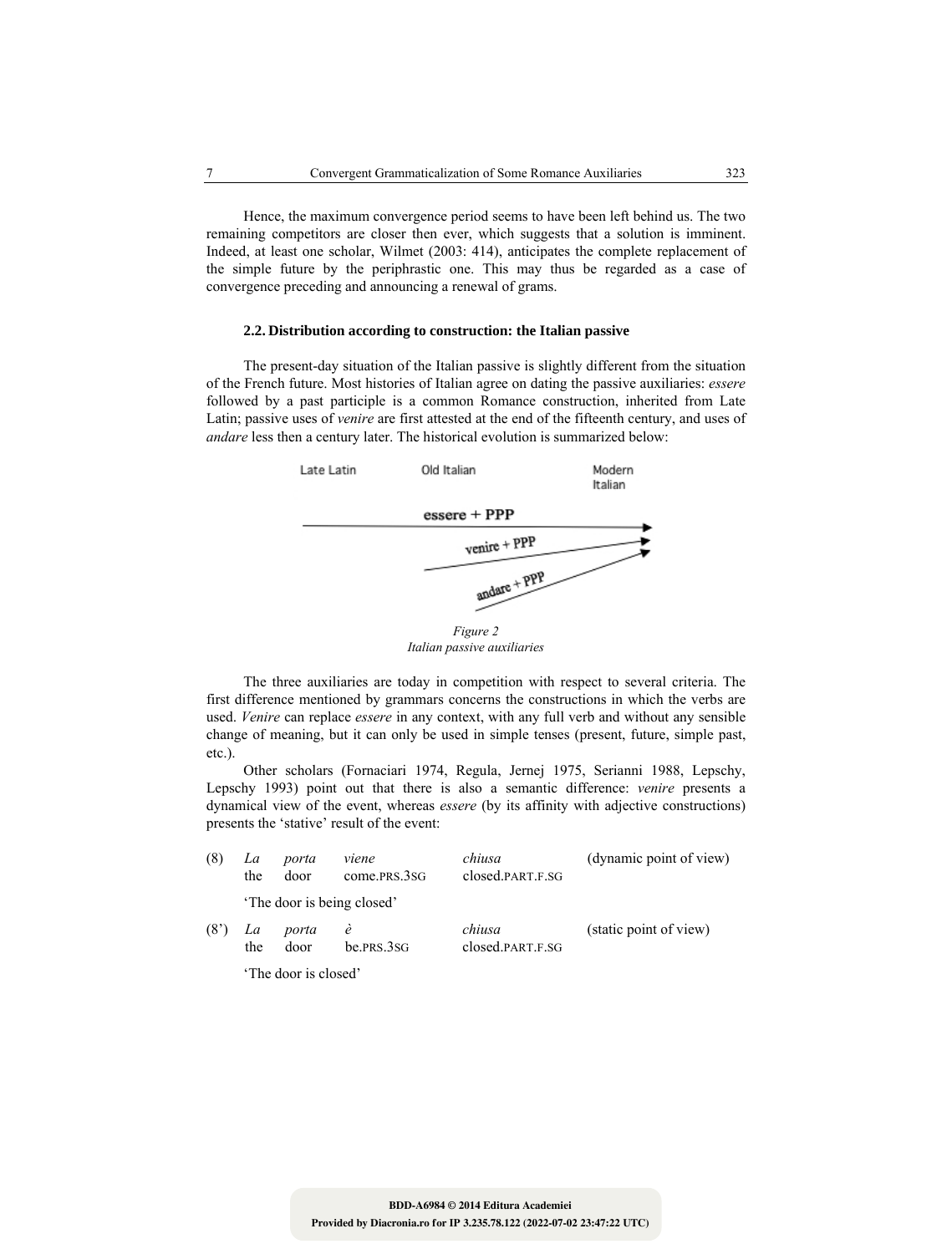Hence, the maximum convergence period seems to have been left behind us. The two remaining competitors are closer then ever, which suggests that a solution is imminent. Indeed, at least one scholar, Wilmet (2003: 414), anticipates the complete replacement of the simple future by the periphrastic one. This may thus be regarded as a case of convergence preceding and announcing a renewal of grams.

#### **2.2. Distribution according to construction: the Italian passive**

The present-day situation of the Italian passive is slightly different from the situation of the French future. Most histories of Italian agree on dating the passive auxiliaries: *essere* followed by a past participle is a common Romance construction, inherited from Late Latin; passive uses of *venire* are first attested at the end of the fifteenth century, and uses of *andare* less then a century later. The historical evolution is summarized below:



*Italian passive auxiliaries* 

The three auxiliaries are today in competition with respect to several criteria. The first difference mentioned by grammars concerns the constructions in which the verbs are used. *Venire* can replace *essere* in any context, with any full verb and without any sensible change of meaning, but it can only be used in simple tenses (present, future, simple past, etc.).

Other scholars (Fornaciari 1974, Regula, Jernej 1975, Serianni 1988, Lepschy, Lepschy 1993) point out that there is also a semantic difference: *venire* presents a dynamical view of the event, whereas *essere* (by its affinity with adjective constructions) presents the 'stative' result of the event:

| (8)               | La<br>the | porta<br>door        | viene<br>come.PRS.3SG      | chiusa<br>closed.PART.F.SG | (dynamic point of view) |
|-------------------|-----------|----------------------|----------------------------|----------------------------|-------------------------|
|                   |           |                      | 'The door is being closed' |                            |                         |
| (8 <sup>2</sup> ) | La<br>the | porta<br>door        | e<br>be. PRS. 3SG          | chiusa<br>closed.PART.F.SG | (static point of view)  |
|                   |           | 'The door is closed' |                            |                            |                         |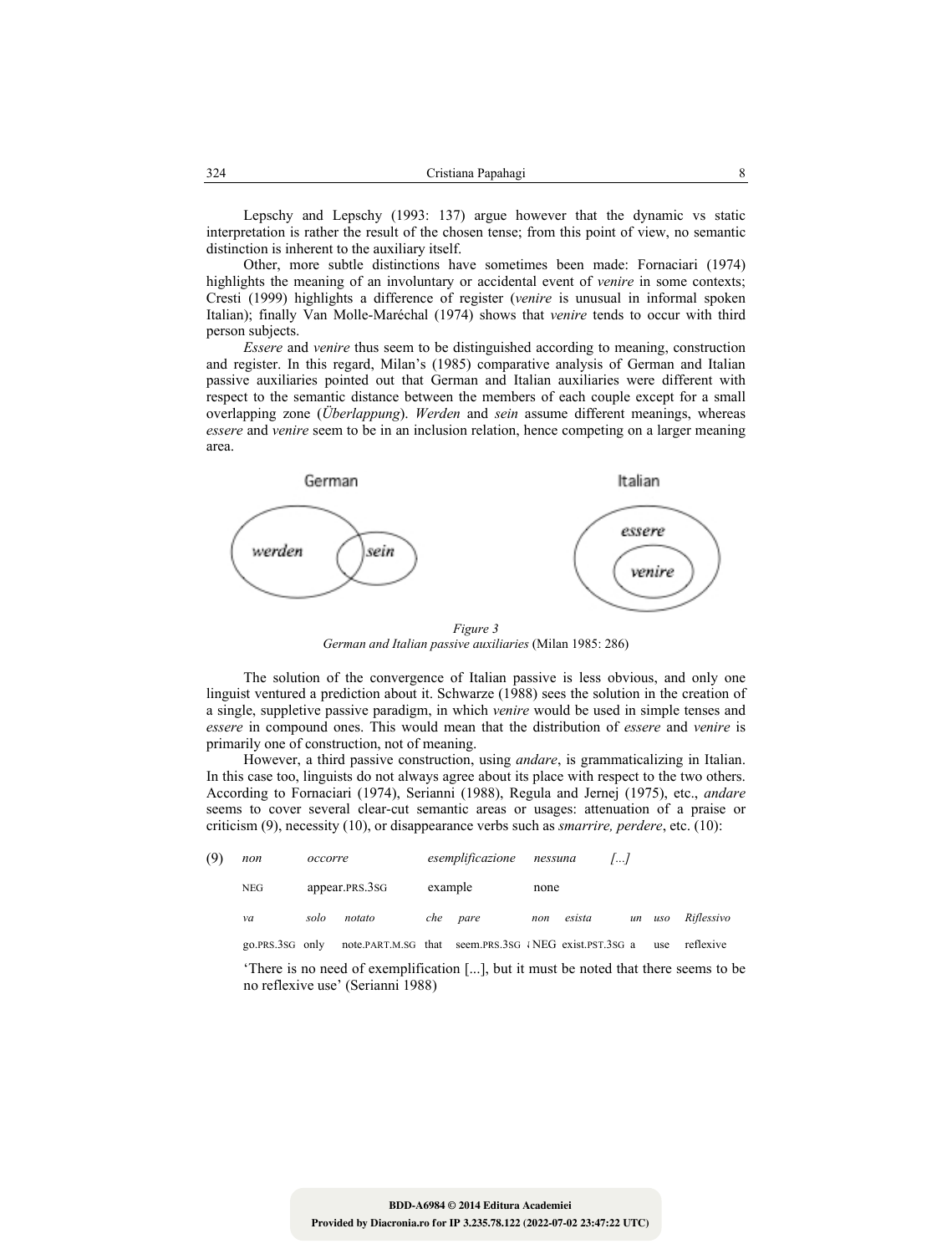Lepschy and Lepschy (1993: 137) argue however that the dynamic vs static interpretation is rather the result of the chosen tense; from this point of view, no semantic distinction is inherent to the auxiliary itself.

Other, more subtle distinctions have sometimes been made: Fornaciari (1974) highlights the meaning of an involuntary or accidental event of *venire* in some contexts; Cresti (1999) highlights a difference of register (*venire* is unusual in informal spoken Italian); finally Van Molle-Maréchal (1974) shows that *venire* tends to occur with third person subjects.

*Essere* and *venire* thus seem to be distinguished according to meaning, construction and register. In this regard, Milan's (1985) comparative analysis of German and Italian passive auxiliaries pointed out that German and Italian auxiliaries were different with respect to the semantic distance between the members of each couple except for a small overlapping zone (*Überlappung*). *Werden* and *sein* assume different meanings, whereas *essere* and *venire* seem to be in an inclusion relation, hence competing on a larger meaning area.



*Figure 3 German and Italian passive auxiliaries* (Milan 1985: 286)

The solution of the convergence of Italian passive is less obvious, and only one linguist ventured a prediction about it. Schwarze (1988) sees the solution in the creation of a single, suppletive passive paradigm, in which *venire* would be used in simple tenses and *essere* in compound ones. This would mean that the distribution of *essere* and *venire* is primarily one of construction, not of meaning.

However, a third passive construction, using *andare*, is grammaticalizing in Italian. In this case too, linguists do not always agree about its place with respect to the two others. According to Fornaciari (1974), Serianni (1988), Regula and Jernej (1975), etc., *andare* seems to cover several clear-cut semantic areas or usages: attenuation of a praise or criticism (9), necessity (10), or disappearance verbs such as *smarrire, perdere*, etc. (10):

| (9) | non             | occorre |                                                                                                                           |         | esemplificazione | nessuna | $\sqrt{a}$ |    |            |            |
|-----|-----------------|---------|---------------------------------------------------------------------------------------------------------------------------|---------|------------------|---------|------------|----|------------|------------|
|     | NEG             |         | appear.PRS.3SG                                                                                                            | example |                  | none    |            |    |            |            |
|     | va              | solo    | notato                                                                                                                    | che     | pare             | non     | esista     | un | uso        | Riflessivo |
|     | go.PRS.3SG only |         | note.PART.M.SG that seem.PRS.3SG INEG exist.PST.3SG a                                                                     |         |                  |         |            |    | <b>use</b> | reflexive  |
|     |                 |         | 'There is no need of exemplification [], but it must be noted that there seems to be<br>no reflexive use' (Serianni 1988) |         |                  |         |            |    |            |            |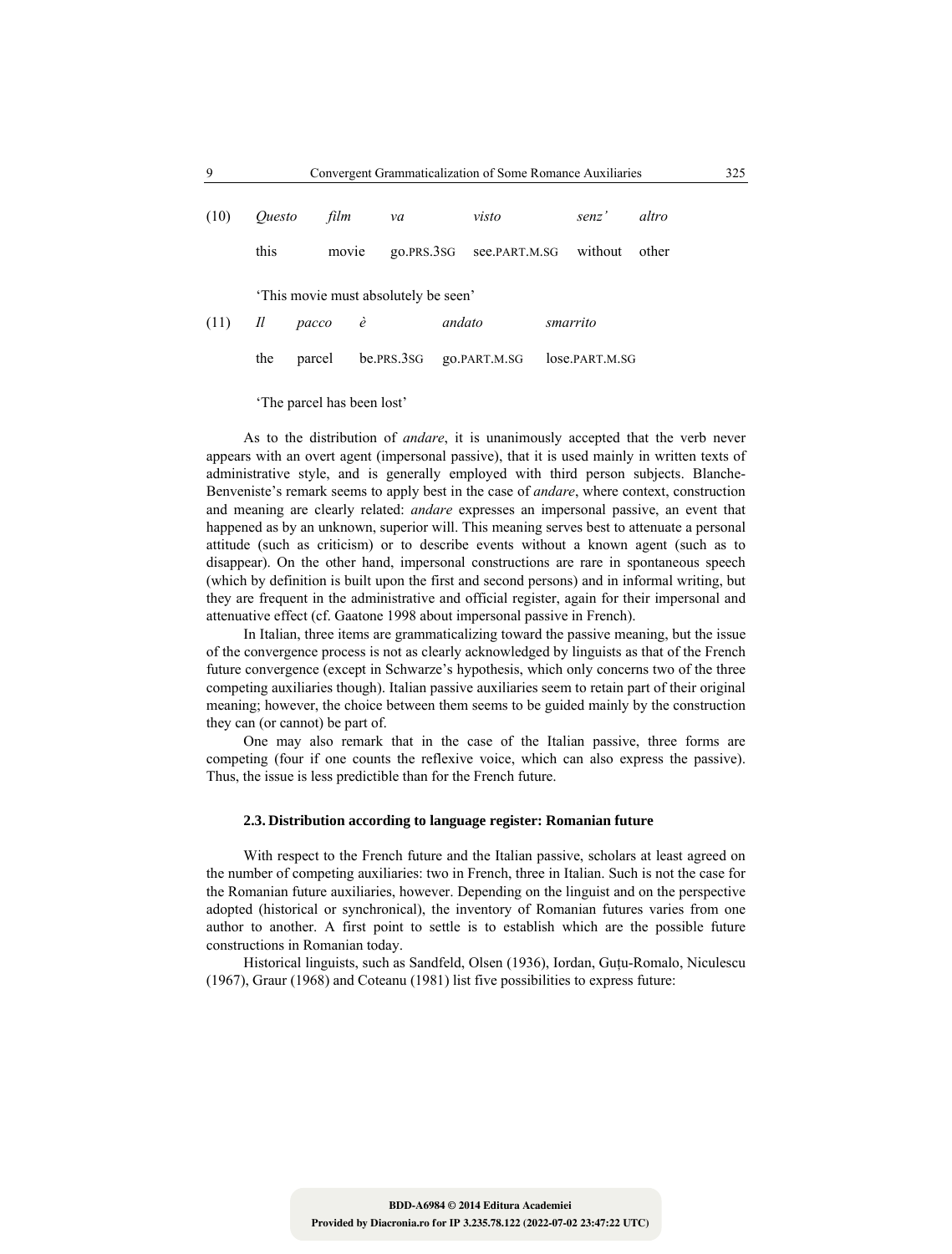| (10) | <i>Ouesto</i>                       | film   | va         |            | visto         | senz'          | altro |  |  |
|------|-------------------------------------|--------|------------|------------|---------------|----------------|-------|--|--|
|      | this                                |        | movie      | QO.PRS.3SG | see.PART.M.SG | without        | other |  |  |
|      | This movie must absolutely be seen' |        |            |            |               |                |       |  |  |
| (11) | $\mathcal{I}l$                      | pacco  | $\dot{e}$  | andato     |               | smarrito       |       |  |  |
|      | the                                 | parcel | be.prs.3sg |            | go.PART.M.SG  | lose.part.m.sG |       |  |  |

'The parcel has been lost'

As to the distribution of *andare*, it is unanimously accepted that the verb never appears with an overt agent (impersonal passive), that it is used mainly in written texts of administrative style, and is generally employed with third person subjects. Blanche-Benveniste's remark seems to apply best in the case of *andare*, where context, construction and meaning are clearly related: *andare* expresses an impersonal passive, an event that happened as by an unknown, superior will. This meaning serves best to attenuate a personal attitude (such as criticism) or to describe events without a known agent (such as to disappear). On the other hand, impersonal constructions are rare in spontaneous speech (which by definition is built upon the first and second persons) and in informal writing, but they are frequent in the administrative and official register, again for their impersonal and attenuative effect (cf. Gaatone 1998 about impersonal passive in French).

In Italian, three items are grammaticalizing toward the passive meaning, but the issue of the convergence process is not as clearly acknowledged by linguists as that of the French future convergence (except in Schwarze's hypothesis, which only concerns two of the three competing auxiliaries though). Italian passive auxiliaries seem to retain part of their original meaning; however, the choice between them seems to be guided mainly by the construction they can (or cannot) be part of.

One may also remark that in the case of the Italian passive, three forms are competing (four if one counts the reflexive voice, which can also express the passive). Thus, the issue is less predictible than for the French future.

## **2.3. Distribution according to language register: Romanian future**

With respect to the French future and the Italian passive, scholars at least agreed on the number of competing auxiliaries: two in French, three in Italian. Such is not the case for the Romanian future auxiliaries, however. Depending on the linguist and on the perspective adopted (historical or synchronical), the inventory of Romanian futures varies from one author to another. A first point to settle is to establish which are the possible future constructions in Romanian today.

Historical linguists, such as Sandfeld, Olsen (1936), Iordan, Guţu-Romalo, Niculescu (1967), Graur (1968) and Coteanu (1981) list five possibilities to express future: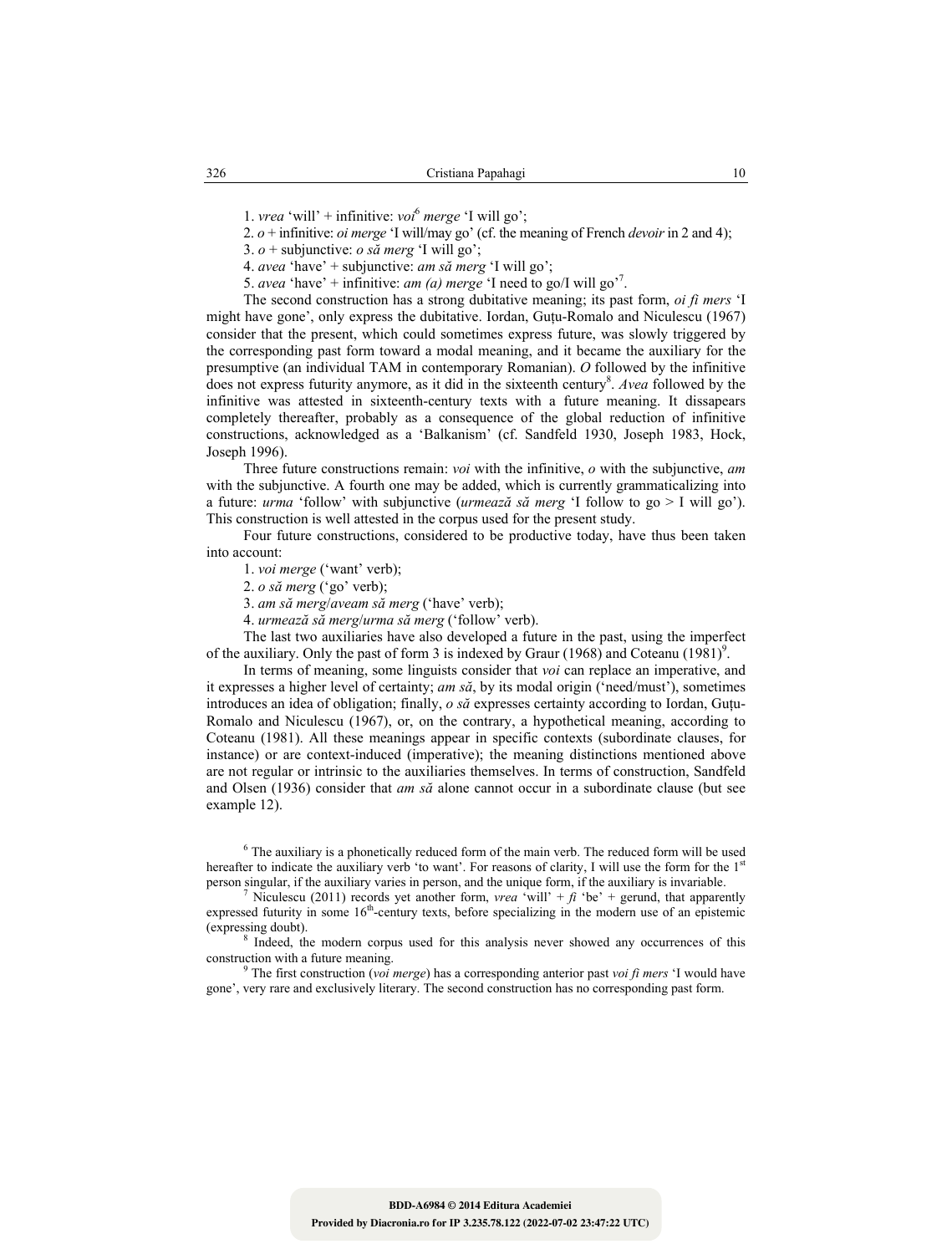1. *vrea* 'will' + infinitive: *voi*<sup>6</sup>  *merge* 'I will go';

2. *o* + infinitive: *oi merge* 'I will/may go' (cf. the meaning of French *devoir* in 2 and 4);

3.  $o +$  subjunctive: *o să merg* 'I will go';

4. *avea* 'have' + subjunctive: *am să merg* 'I will go';

5. *avea* 'have' + infinitive: *am (a) merge* 'I need to go/I will go'<sup>7</sup>.

The second construction has a strong dubitative meaning; its past form, *oi fi mers* 'I might have gone', only express the dubitative. Iordan, Gutu-Romalo and Niculescu (1967) consider that the present, which could sometimes express future, was slowly triggered by the corresponding past form toward a modal meaning, and it became the auxiliary for the presumptive (an individual TAM in contemporary Romanian). *O* followed by the infinitive does not express futurity anymore, as it did in the sixteenth century<sup>8</sup>. *Avea* followed by the infinitive was attested in sixteenth-century texts with a future meaning. It dissapears completely thereafter, probably as a consequence of the global reduction of infinitive constructions, acknowledged as a 'Balkanism' (cf. Sandfeld 1930, Joseph 1983, Hock, Joseph 1996).

Three future constructions remain: *voi* with the infinitive, *o* with the subjunctive, *am* with the subjunctive. A fourth one may be added, which is currently grammaticalizing into a future: *urma* 'follow' with subjunctive (*urmează să merg* 'I follow to go > I will go'). This construction is well attested in the corpus used for the present study.

Four future constructions, considered to be productive today, have thus been taken into account:

1. *voi merge* ('want' verb);

2. *o să merg* ('go' verb);

3. *am să merg*/*aveam să merg* ('have' verb);

4. *urmează să merg*/*urma să merg* ('follow' verb).

The last two auxiliaries have also developed a future in the past, using the imperfect of the auxiliary. Only the past of form 3 is indexed by Graur  $(1968)$  and Coteanu  $(1981)$ <sup>9</sup>.

In terms of meaning, some linguists consider that *voi* can replace an imperative, and it expresses a higher level of certainty; *am să*, by its modal origin ('need/must'), sometimes introduces an idea of obligation; finally, *o să* expresses certainty according to Iordan, Guţu-Romalo and Niculescu (1967), or, on the contrary, a hypothetical meaning, according to Coteanu (1981). All these meanings appear in specific contexts (subordinate clauses, for instance) or are context-induced (imperative); the meaning distinctions mentioned above are not regular or intrinsic to the auxiliaries themselves. In terms of construction, Sandfeld and Olsen (1936) consider that *am să* alone cannot occur in a subordinate clause (but see example 12).

 $6$  The auxiliary is a phonetically reduced form of the main verb. The reduced form will be used hereafter to indicate the auxiliary verb 'to want'. For reasons of clarity, I will use the form for the 1<sup>st</sup> person singular, if the auxiliary varies in person, and the unique form, if the auxiliary is invariable. <sup>7</sup>

Niculescu (2011) records yet another form, *vrea* 'will' +  $\hat{f}$  'be' + gerund, that apparently expressed futurity in some  $16<sup>th</sup>$ -century texts, before specializing in the modern use of an epistemic (expressing doubt).

<sup>8</sup> Indeed, the modern corpus used for this analysis never showed any occurrences of this construction with a future meaning.

 The first construction (*voi merge*) has a corresponding anterior past *voi fi mers* 'I would have gone', very rare and exclusively literary. The second construction has no corresponding past form.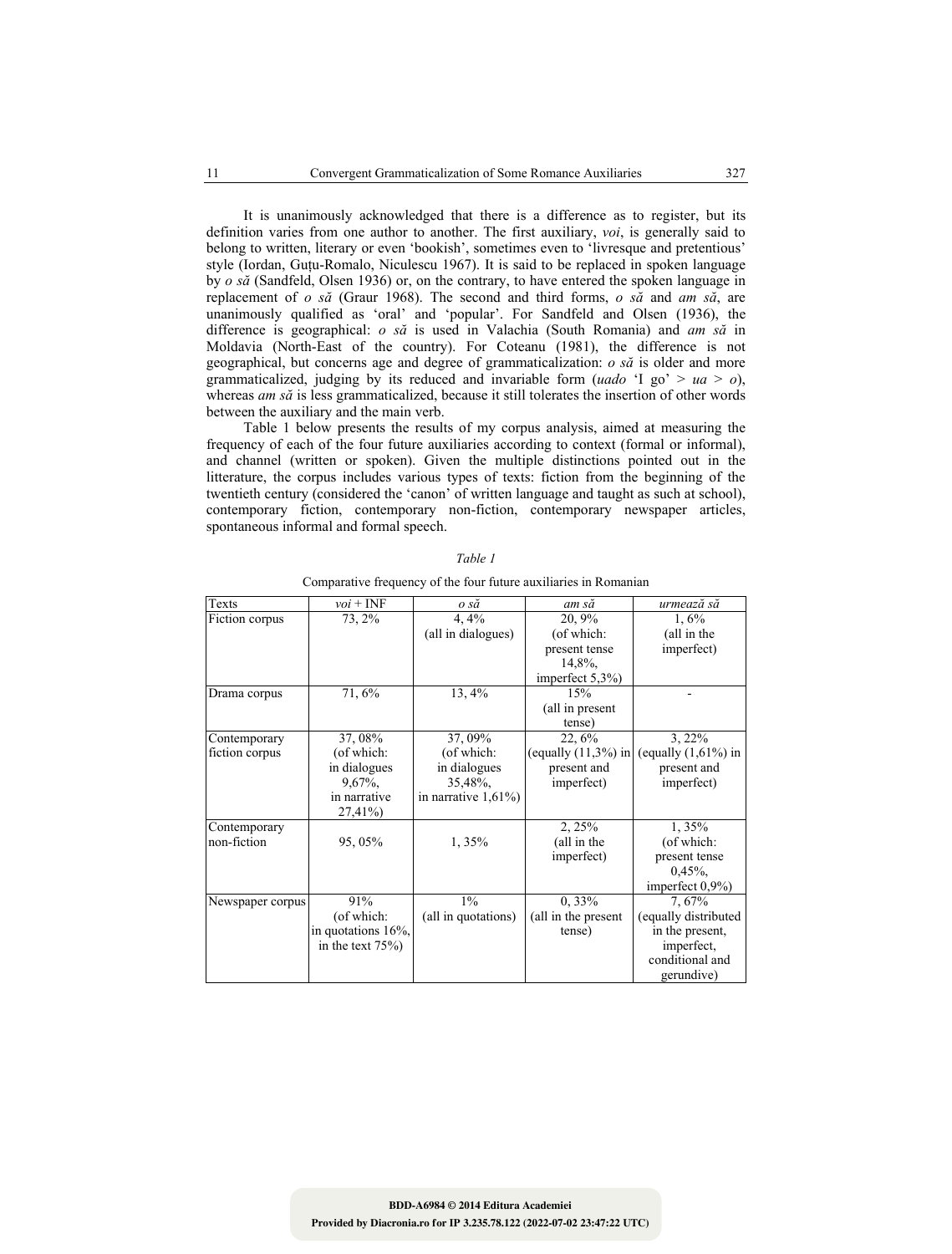It is unanimously acknowledged that there is a difference as to register, but its definition varies from one author to another. The first auxiliary, *voi*, is generally said to belong to written, literary or even 'bookish', sometimes even to 'livresque and pretentious' style (Iordan, Guţu-Romalo, Niculescu 1967). It is said to be replaced in spoken language by *o să* (Sandfeld, Olsen 1936) or, on the contrary, to have entered the spoken language in replacement of *o să* (Graur 1968). The second and third forms, *o să* and *am să*, are unanimously qualified as 'oral' and 'popular'. For Sandfeld and Olsen (1936), the difference is geographical: *o să* is used in Valachia (South Romania) and *am să* in Moldavia (North-East of the country). For Coteanu (1981), the difference is not geographical, but concerns age and degree of grammaticalization: *o să* is older and more grammaticalized, judging by its reduced and invariable form (*uado* 'I go' >  $ua$  >  $o$ ), whereas *am să* is less grammaticalized, because it still tolerates the insertion of other words between the auxiliary and the main verb.

Table 1 below presents the results of my corpus analysis, aimed at measuring the frequency of each of the four future auxiliaries according to context (formal or informal), and channel (written or spoken). Given the multiple distinctions pointed out in the litterature, the corpus includes various types of texts: fiction from the beginning of the twentieth century (considered the 'canon' of written language and taught as such at school), contemporary fiction, contemporary non-fiction, contemporary newspaper articles, spontaneous informal and formal speech.

| Texts            | $\nu o i$ + INF      | o să                    | am să                  | urmează să             |
|------------------|----------------------|-------------------------|------------------------|------------------------|
| Fiction corpus   | 73, 2%               | 4,4%                    | 20, 9%                 | 1,6%                   |
|                  |                      | (all in dialogues)      | (of which:             | (all in the            |
|                  |                      |                         | present tense          | imperfect)             |
|                  |                      |                         | 14,8%,                 |                        |
|                  |                      |                         | imperfect $5,3%$       |                        |
| Drama corpus     | 71, 6%               | 13, 4%                  | 15%                    |                        |
|                  |                      |                         | (all in present        |                        |
|                  |                      |                         | tense)                 |                        |
| Contemporary     | 37, 08%              | 37, 09%                 | 22, 6%                 | $3,22\%$               |
| fiction corpus   | (of which:           | (of which:              | (equally $(11,3\%)$ in | (equally $(1,61\%)$ in |
|                  | in dialogues         | in dialogues            | present and            | present and            |
|                  | $9,67\%$ ,           | 35,48%,                 | imperfect)             | imperfect)             |
|                  | in narrative         | in narrative $1,61\%$ ) |                        |                        |
|                  | 27,41%)              |                         |                        |                        |
| Contemporary     |                      |                         | 2, 25%                 | 1,35%                  |
| non-fiction      | 95, 05%              | 1,35%                   | (all in the            | (of which:             |
|                  |                      |                         | imperfect)             | present tense          |
|                  |                      |                         |                        | $0,45\%$ ,             |
|                  |                      |                         |                        | imperfect 0,9%)        |
| Newspaper corpus | 91%                  | $1\%$                   | $0, 33\%$              | 7,67%                  |
|                  | (of which:           | (all in quotations)     | (all in the present    | (equally distributed   |
|                  | in quotations 16%,   |                         | tense)                 | in the present,        |
|                  | in the text $75\%$ ) |                         |                        | imperfect,             |
|                  |                      |                         |                        | conditional and        |
|                  |                      |                         |                        | gerundive)             |

*Table 1*  Comparative frequency of the four future auxiliaries in Romanian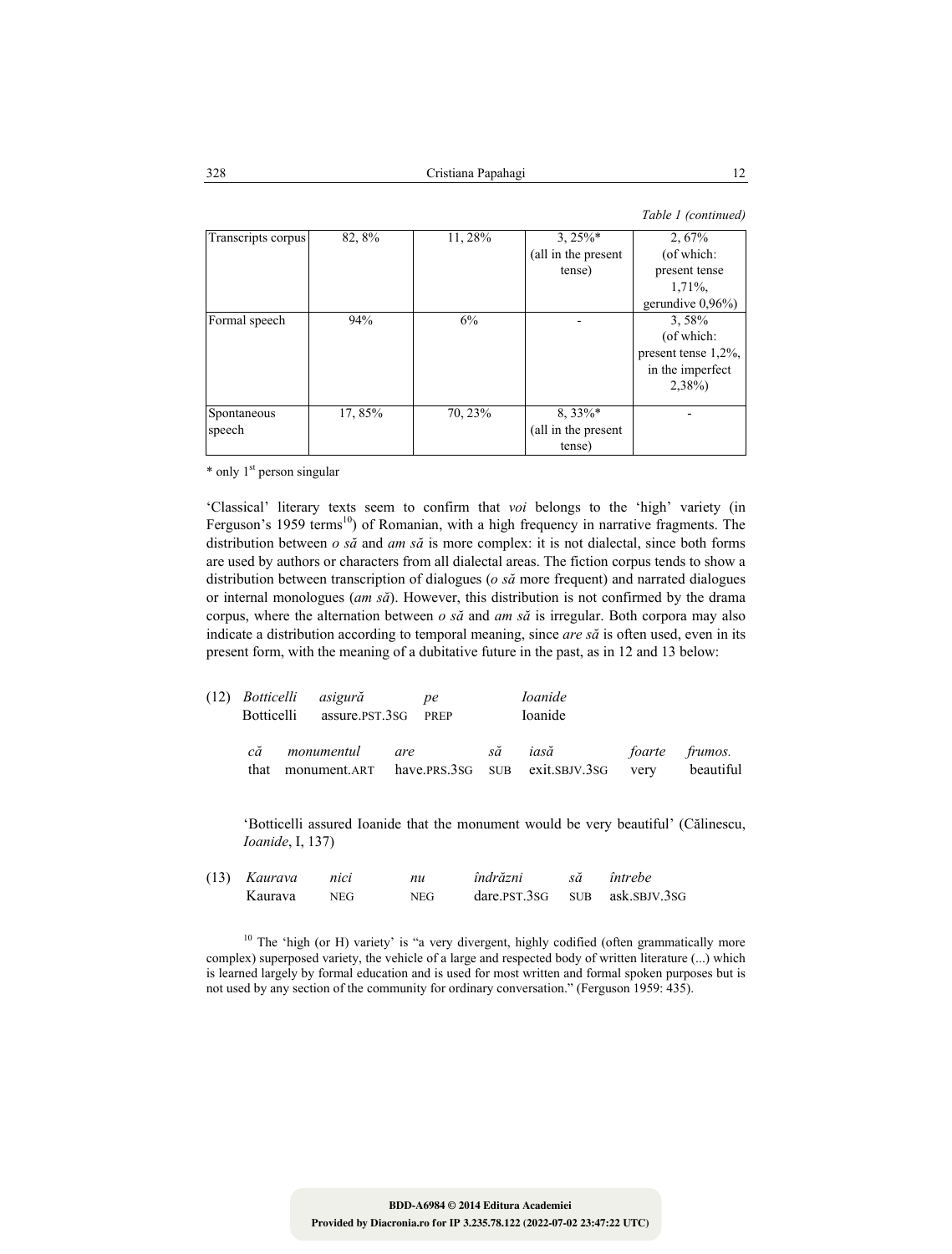| Transcripts corpus | 82, 8%  | 11, 28% | $3,25\%*$           | 2,67%                   |
|--------------------|---------|---------|---------------------|-------------------------|
|                    |         |         | (all in the present | (of which:              |
|                    |         |         | tense)              | present tense           |
|                    |         |         |                     | 1,71%,                  |
|                    |         |         |                     | gerundive $0,96\%$ )    |
| Formal speech      | 94%     | 6%      |                     | 3,58%                   |
|                    |         |         |                     | (of which:              |
|                    |         |         |                     | present tense $1,2\%$ , |
|                    |         |         |                     | in the imperfect        |
|                    |         |         |                     | $2,38\%$                |
| Spontaneous        | 17, 85% | 70, 23% | $8,33\%*$           |                         |
| speech             |         |         | (all in the present |                         |
|                    |         |         | tense)              |                         |

\* only 1<sup>st</sup> person singular

'Classical' literary texts seem to confirm that *voi* belongs to the 'high' variety (in Ferguson's 1959 terms<sup>10</sup>) of Romanian, with a high frequency in narrative fragments. The distribution between *o să* and *am să* is more complex: it is not dialectal, since both forms are used by authors or characters from all dialectal areas. The fiction corpus tends to show a distribution between transcription of dialogues (*o să* more frequent) and narrated dialogues or internal monologues (*am să*). However, this distribution is not confirmed by the drama corpus, where the alternation between *o să* and *am să* is irregular. Both corpora may also indicate a distribution according to temporal meaning, since *are să* is often used, even in its present form, with the meaning of a dubitative future in the past, as in 12 and 13 below:

| Botticelli | (12) Botticelli asigură<br>assure.pst.3sG PREP |     | <sub>ne</sub> |    | <i>Ioanide</i><br>Ioanide              |      |                             |
|------------|------------------------------------------------|-----|---------------|----|----------------------------------------|------|-----------------------------|
| сă<br>that | monumentul<br>monument.ART                     | are |               | să | iasă<br>have.PRS.3SG SUB exit.SBJV.3SG | very | foarte frumos.<br>beautiful |

'Botticelli assured Ioanide that the monument would be very beautiful' (Călinescu, *Ioanide*, I, 137)

| $(13)$ Kaurava | nici       | nu   | îndrăzni | întrebe                            |
|----------------|------------|------|----------|------------------------------------|
| Kaurava        | <b>NEG</b> | NEG. |          | $dare.PST.3SG$ $SUB$ $ask.SBY.3SG$ |

<sup>10</sup> The 'high (or H) variety' is "a very divergent, highly codified (often grammatically more complex) superposed variety, the vehicle of a large and respected body of written literature (...) which is learned largely by formal education and is used for most written and formal spoken purposes but is not used by any section of the community for ordinary conversation." (Ferguson 1959: 435).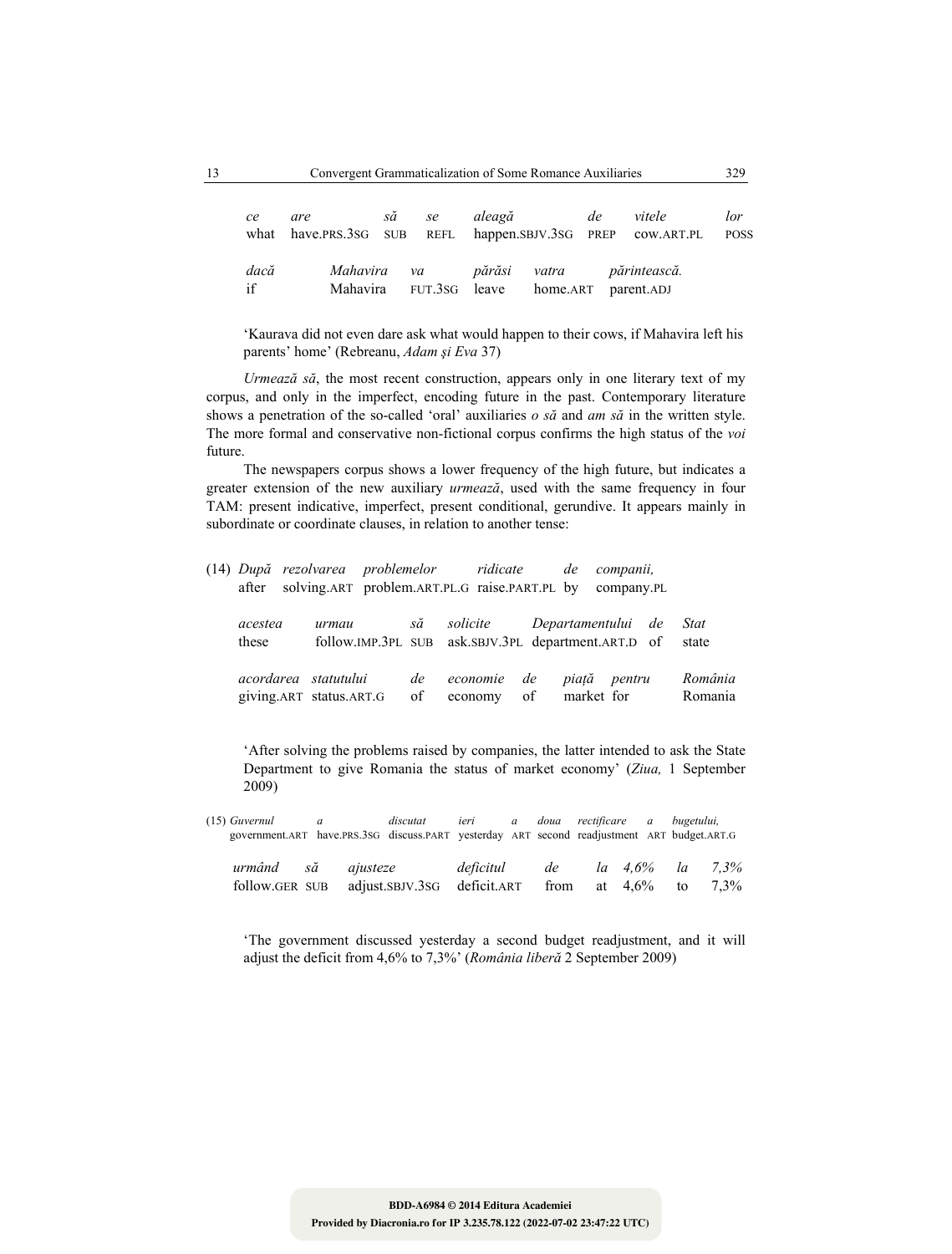| ce         | are<br>what have.PRS.3SG SUB REFL happen.SBJV.3SG PREP COW.ART.PL | să se |               | aleagă                                                       | de | vitele | lor<br><b>POSS</b> |
|------------|-------------------------------------------------------------------|-------|---------------|--------------------------------------------------------------|----|--------|--------------------|
| dacă<br>if | Mahavira                                                          |       | FUT.3sG leave | Mahavira va părăsi vatra părintească.<br>home.ART parent.ADJ |    |        |                    |

'Kaurava did not even dare ask what would happen to their cows, if Mahavira left his parents' home' (Rebreanu, *Adam şi Eva* 37)

*Urmează să*, the most recent construction, appears only in one literary text of my corpus, and only in the imperfect, encoding future in the past. Contemporary literature shows a penetration of the so-called 'oral' auxiliaries *o să* and *am să* in the written style. The more formal and conservative non-fictional corpus confirms the high status of the *voi*  future.

The newspapers corpus shows a lower frequency of the high future, but indicates a greater extension of the new auxiliary *urmează*, used with the same frequency in four TAM: present indicative, imperfect, present conditional, gerundive. It appears mainly in subordinate or coordinate clauses, in relation to another tense:

| (14) După rezolvarea problemelor - ridicate<br>after | solving.ART problem.ART.PL.G raise.PART.PL by company.PL |                                                     |          |          |               |    | de                  | companii,          |                      |
|------------------------------------------------------|----------------------------------------------------------|-----------------------------------------------------|----------|----------|---------------|----|---------------------|--------------------|----------------------|
| acestea<br>these                                     | urmau                                                    | follow.IMP.3PL SUB ask.SBJV.3PL department.ART.D of | să       | solicite |               |    |                     | Departamentului de | <b>Stat</b><br>state |
|                                                      | acordarea statutului<br>giving.ART status.ART.G          |                                                     | de<br>of | economie | de<br>economy | of | piată<br>market for | pentru             | România<br>Romania   |

'After solving the problems raised by companies, the latter intended to ask the State Department to give Romania the status of market economy' (*Ziua,* 1 September 2009)

(15) *Guvernul a discutat ieri a doua rectificare a bugetului,*  government.ART have.PRS.3SG discuss.PART yesterday ART second readjustment ART budget.ART.G

| urmând să ajusteze |                                                                 | deficitul de la 4,6% la 7,3% |  |  |  |
|--------------------|-----------------------------------------------------------------|------------------------------|--|--|--|
|                    | follow.GER SUB adjust.SBJV.3SG deficit.ART from at 4,6% to 7,3% |                              |  |  |  |

'The government discussed yesterday a second budget readjustment, and it will adjust the deficit from 4,6% to 7,3%' (*România liberă* 2 September 2009)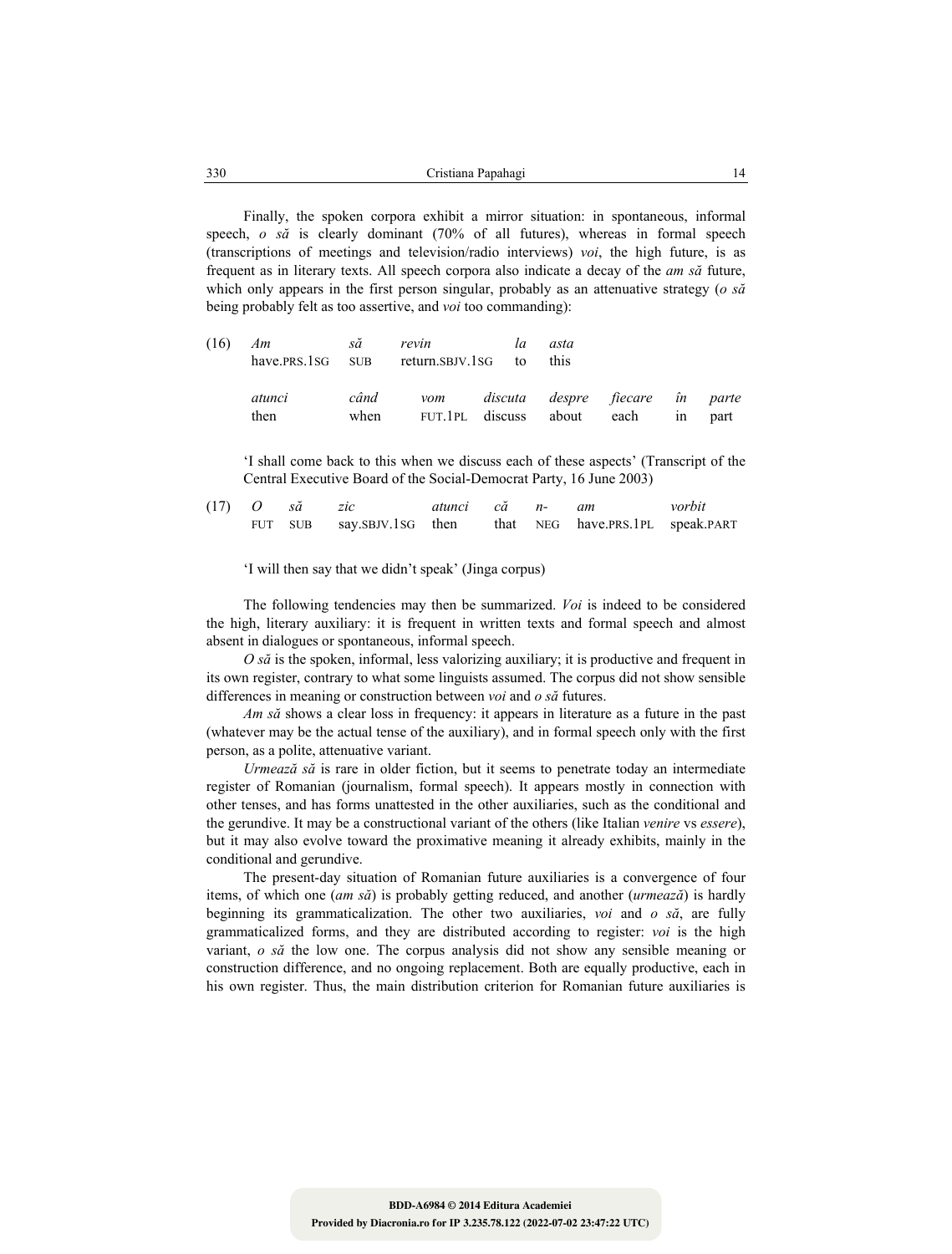| 330 | Papahagi<br>∠rıstıana P |  |
|-----|-------------------------|--|
|     |                         |  |

Finally, the spoken corpora exhibit a mirror situation: in spontaneous, informal speech, *o să* is clearly dominant (70% of all futures), whereas in formal speech (transcriptions of meetings and television/radio interviews) *voi*, the high future, is as frequent as in literary texts. All speech corpora also indicate a decay of the *am să* future, which only appears in the first person singular, probably as an attenuative strategy (*o să* being probably felt as too assertive, and *voi* too commanding):

| $(16)$ Am să<br>have.prs.1sG sub return.sbJV.1sG to |              | revin | la | asta<br>this |                                                                      |      |
|-----------------------------------------------------|--------------|-------|----|--------------|----------------------------------------------------------------------|------|
| atunci<br>then                                      | când<br>when |       |    |              | vom discuta despre fiecare în parte<br>FUT.1PL discuss about each in | part |

'I shall come back to this when we discuss each of these aspects' (Transcript of the Central Executive Board of the Social-Democrat Party, 16 June 2003)

|  | $(17)$ O să zic |                                                            | atunci că n- am |  | vorbit |
|--|-----------------|------------------------------------------------------------|-----------------|--|--------|
|  |                 | FUT SUB say.SBJV.1SG then that NEG have.PRS.1PL speak.PART |                 |  |        |

'I will then say that we didn't speak' (Jinga corpus)

The following tendencies may then be summarized. *Voi* is indeed to be considered the high, literary auxiliary: it is frequent in written texts and formal speech and almost absent in dialogues or spontaneous, informal speech.

*O să* is the spoken, informal, less valorizing auxiliary; it is productive and frequent in its own register, contrary to what some linguists assumed. The corpus did not show sensible differences in meaning or construction between *voi* and *o să* futures.

*Am să* shows a clear loss in frequency: it appears in literature as a future in the past (whatever may be the actual tense of the auxiliary), and in formal speech only with the first person, as a polite, attenuative variant.

*Urmează să* is rare in older fiction, but it seems to penetrate today an intermediate register of Romanian (journalism, formal speech). It appears mostly in connection with other tenses, and has forms unattested in the other auxiliaries, such as the conditional and the gerundive. It may be a constructional variant of the others (like Italian *venire* vs *essere*), but it may also evolve toward the proximative meaning it already exhibits, mainly in the conditional and gerundive.

The present-day situation of Romanian future auxiliaries is a convergence of four items, of which one (*am să*) is probably getting reduced, and another (*urmează*) is hardly beginning its grammaticalization. The other two auxiliaries, *voi* and *o să*, are fully grammaticalized forms, and they are distributed according to register: *voi* is the high variant, *o să* the low one. The corpus analysis did not show any sensible meaning or construction difference, and no ongoing replacement. Both are equally productive, each in his own register. Thus, the main distribution criterion for Romanian future auxiliaries is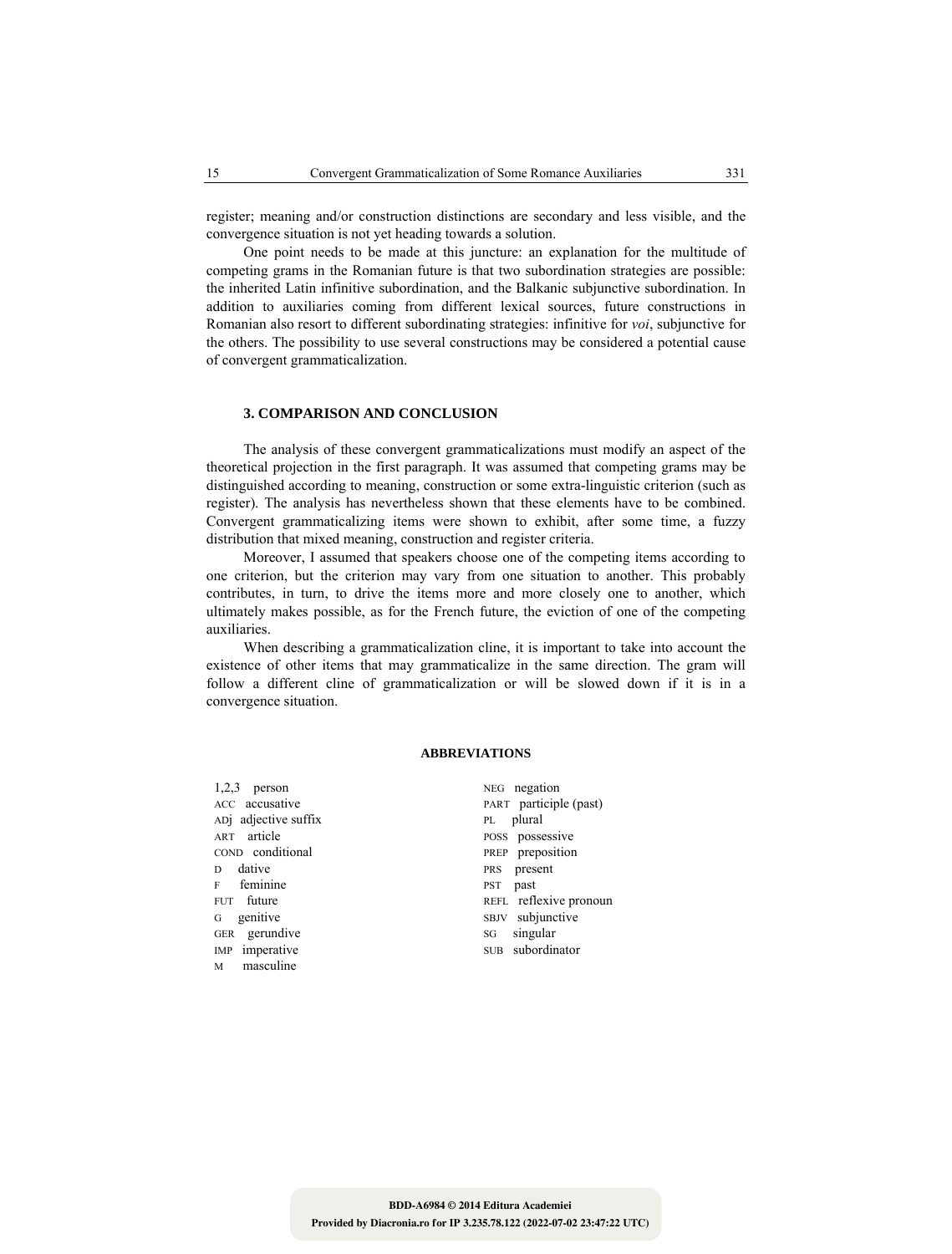register; meaning and/or construction distinctions are secondary and less visible, and the convergence situation is not yet heading towards a solution.

One point needs to be made at this juncture: an explanation for the multitude of competing grams in the Romanian future is that two subordination strategies are possible: the inherited Latin infinitive subordination, and the Balkanic subjunctive subordination. In addition to auxiliaries coming from different lexical sources, future constructions in Romanian also resort to different subordinating strategies: infinitive for *voi*, subjunctive for the others. The possibility to use several constructions may be considered a potential cause of convergent grammaticalization.

### **3. COMPARISON AND CONCLUSION**

The analysis of these convergent grammaticalizations must modify an aspect of the theoretical projection in the first paragraph. It was assumed that competing grams may be distinguished according to meaning, construction or some extra-linguistic criterion (such as register). The analysis has nevertheless shown that these elements have to be combined. Convergent grammaticalizing items were shown to exhibit, after some time, a fuzzy distribution that mixed meaning, construction and register criteria.

Moreover, I assumed that speakers choose one of the competing items according to one criterion, but the criterion may vary from one situation to another. This probably contributes, in turn, to drive the items more and more closely one to another, which ultimately makes possible, as for the French future, the eviction of one of the competing auxiliaries.

When describing a grammaticalization cline, it is important to take into account the existence of other items that may grammaticalize in the same direction. The gram will follow a different cline of grammaticalization or will be slowed down if it is in a convergence situation.

### **ABBREVIATIONS**

1,2,3 person NEG negation ADj adjective suffix PL plural ART article POSS possessive COND conditional PREP preposition D dative PRS present F feminine PST past G genitive SBJV subjunctive<br>GER gerundive SG singular GER gerundive SG IMP imperative SUB subordinator M masculine

ACC accusative PART participle (past) FUT future REFL reflexive pronoun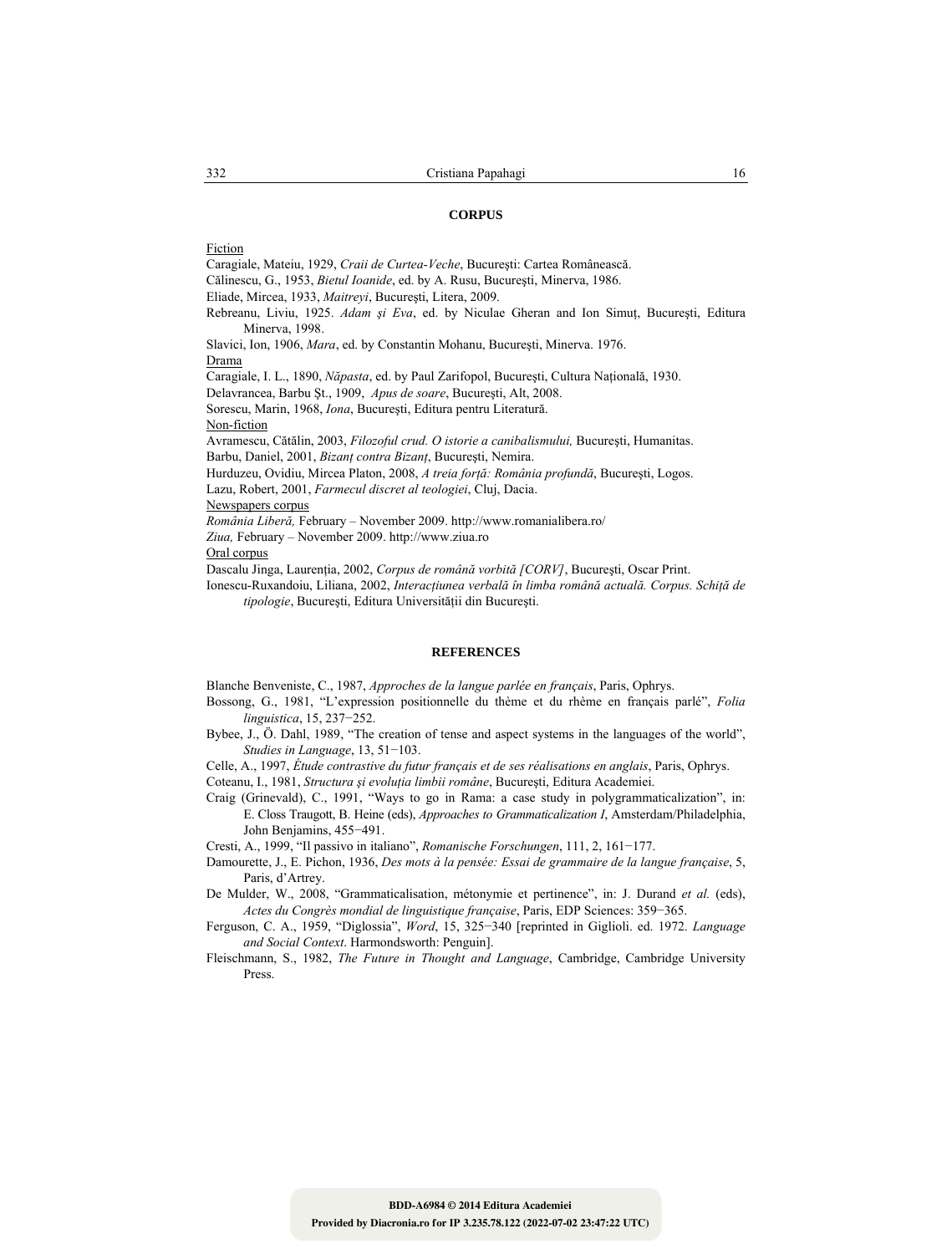#### **CORPUS**

Fiction

Caragiale, Mateiu, 1929, *Craii de Curtea-Veche*, Bucureşti: Cartea Românească.

Călinescu, G., 1953, *Bietul Ioanide*, ed. by A. Rusu, Bucureşti, Minerva, 1986.

Eliade, Mircea, 1933, *Maitreyi*, Bucureşti, Litera, 2009.

Rebreanu, Liviu, 1925. *Adam şi Eva*, ed. by Niculae Gheran and Ion Simuţ, Bucureşti, Editura Minerva, 1998.

Slavici, Ion, 1906, *Mara*, ed. by Constantin Mohanu, Bucureşti, Minerva. 1976. Drama

Caragiale, I. L., 1890, *Năpasta*, ed. by Paul Zarifopol, Bucureşti, Cultura Naţională, 1930.

Delavrancea, Barbu Şt., 1909, *Apus de soare*, Bucureşti, Alt, 2008.

Sorescu, Marin, 1968, *Iona*, Bucureşti, Editura pentru Literatură.

Non-fiction

Avramescu, Cătălin, 2003, *Filozoful crud. O istorie a canibalismului,* Bucureşti, Humanitas. Barbu, Daniel, 2001, *Bizanţ contra Bizanţ*, Bucureşti, Nemira.

Hurduzeu, Ovidiu, Mircea Platon, 2008, *A treia forţă: România profundă*, Bucureşti, Logos. Lazu, Robert, 2001, *Farmecul discret al teologiei*, Cluj, Dacia.

Newspapers corpus

*România Liberă,* February – November 2009. http://www.romanialibera.ro/

*Ziua,* February – November 2009. http://www.ziua.ro

Oral corpus

Dascalu Jinga, Laurenţia, 2002, *Corpus de română vorbită [CORV]*, Bucureşti, Oscar Print.

Ionescu-Ruxandoiu, Liliana, 2002, *Interacţiunea verbală în limba română actuală. Corpus. Schiţă de tipologie*, Bucureşti, Editura Universităţii din Bucureşti.

### **REFERENCES**

Blanche Benveniste, C., 1987, *Approches de la langue parlée en français*, Paris, Ophrys.

- Bossong, G., 1981, "L'expression positionnelle du thème et du rhème en français parlé", *Folia linguistica*, 15, 237−252.
- Bybee, J., Ö. Dahl, 1989, "The creation of tense and aspect systems in the languages of the world", *Studies in Language*, 13, 51−103.

Celle, A., 1997, *Étude contrastive du futur français et de ses réalisations en anglais*, Paris, Ophrys.

Coteanu, I., 1981, *Structura şi evoluţia limbii române*, Bucureşti, Editura Academiei.

Craig (Grinevald), C., 1991, "Ways to go in Rama: a case study in polygrammaticalization", in: E. Closs Traugott, B. Heine (eds), *Approaches to Grammaticalization I*, Amsterdam/Philadelphia, John Benjamins, 455−491.

Cresti, A., 1999, "Il passivo in italiano", *Romanische Forschungen*, 111, 2, 161−177.

Damourette, J., E. Pichon, 1936, *Des mots à la pensée: Essai de grammaire de la langue française*, 5, Paris, d'Artrey.

De Mulder, W., 2008, "Grammaticalisation, métonymie et pertinence", in: J. Durand *et al.* (eds), *Actes du Congrès mondial de linguistique française*, Paris, EDP Sciences: 359−365.

Ferguson, C. A., 1959, "Diglossia", *Word*, 15, 325−340 [reprinted in Giglioli. ed. 1972. *Language and Social Context*. Harmondsworth: Penguin].

Fleischmann, S., 1982, *The Future in Thought and Language*, Cambridge, Cambridge University Press.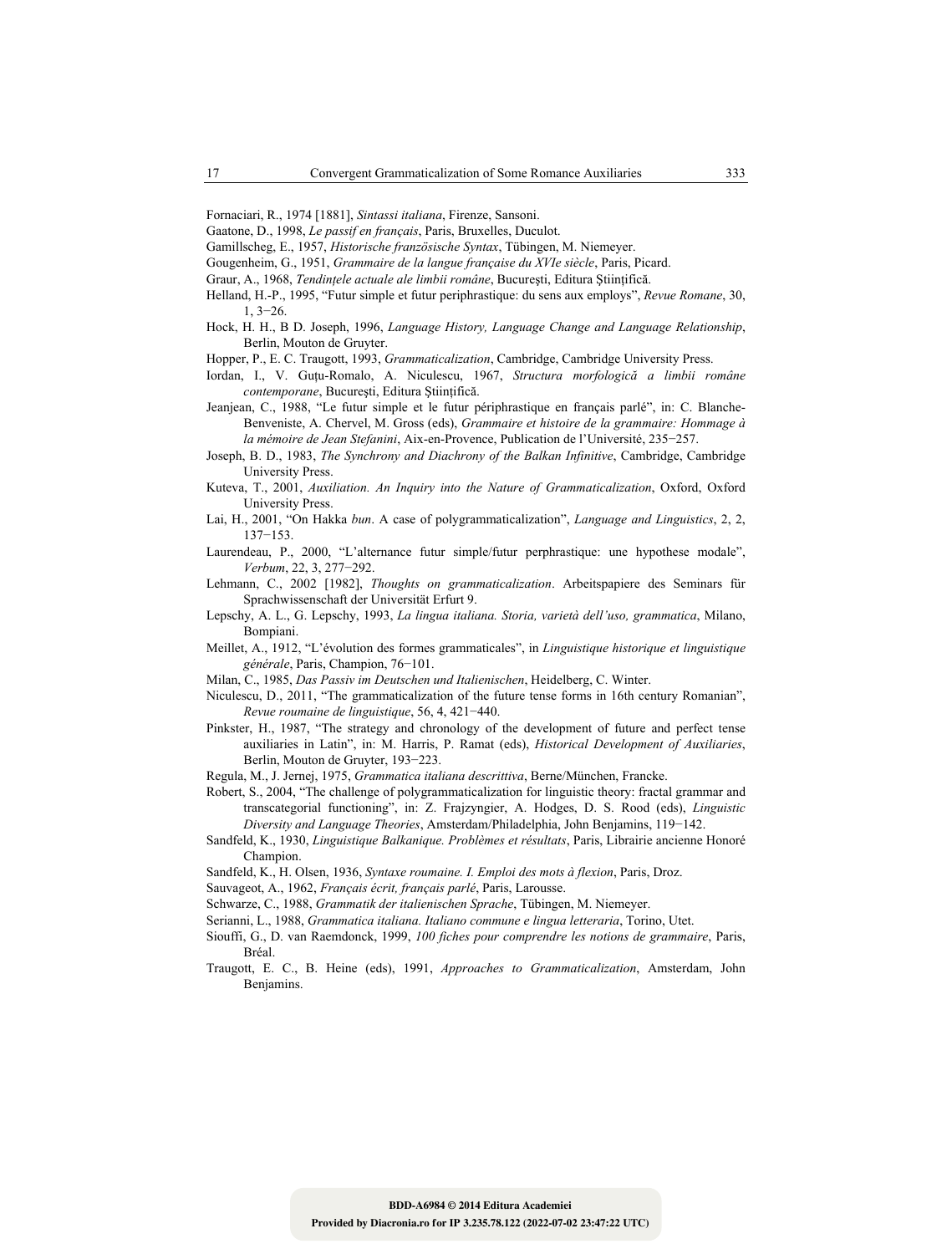- Fornaciari, R., 1974 [1881], *Sintassi italiana*, Firenze, Sansoni.
- Gaatone, D., 1998, *Le passif en français*, Paris, Bruxelles, Duculot.
- Gamillscheg, E., 1957, *Historische französische Syntax*, Tübingen, M. Niemeyer.
- Gougenheim, G., 1951, *Grammaire de la langue française du XVIe siècle*, Paris, Picard.
- Graur, A., 1968, *Tendinţele actuale ale limbii române*, Bucureşti, Editura Ştiinţifică.
- Helland, H.-P., 1995, "Futur simple et futur periphrastique: du sens aux employs", *Revue Romane*, 30, 1, 3−26.
- Hock, H. H., B D. Joseph, 1996, *Language History, Language Change and Language Relationship*, Berlin, Mouton de Gruyter.
- Hopper, P., E. C. Traugott, 1993, *Grammaticalization*, Cambridge, Cambridge University Press.
- Iordan, I., V. Guţu-Romalo, A. Niculescu, 1967, *Structura morfologică a limbii române contemporane*, Bucureşti, Editura Ştiinţifică.
- Jeanjean, C., 1988, "Le futur simple et le futur périphrastique en français parlé", in: C. Blanche-Benveniste, A. Chervel, M. Gross (eds), *Grammaire et histoire de la grammaire: Hommage à la mémoire de Jean Stefanini*, Aix-en-Provence, Publication de l'Université, 235−257.
- Joseph, B. D., 1983, *The Synchrony and Diachrony of the Balkan Infinitive*, Cambridge, Cambridge University Press.
- Kuteva, T., 2001, *Auxiliation. An Inquiry into the Nature of Grammaticalization*, Oxford, Oxford University Press.
- Lai, H., 2001, "On Hakka *bun*. A case of polygrammaticalization", *Language and Linguistics*, 2, 2, 137−153.
- Laurendeau, P., 2000, "L'alternance futur simple/futur perphrastique: une hypothese modale", *Verbum*, 22, 3, 277−292.
- Lehmann, C., 2002 [1982], *Thoughts on grammaticalization*. Arbeitspapiere des Seminars für Sprachwissenschaft der Universität Erfurt 9.
- Lepschy, A. L., G. Lepschy, 1993, *La lingua italiana. Storia, varietà dell'uso, grammatica*, Milano, Bompiani.
- Meillet, A., 1912, "L'évolution des formes grammaticales", in *Linguistique historique et linguistique générale*, Paris, Champion, 76−101.
- Milan, C., 1985, *Das Passiv im Deutschen und Italienischen*, Heidelberg, C. Winter.
- Niculescu, D., 2011, "The grammaticalization of the future tense forms in 16th century Romanian", *Revue roumaine de linguistique*, 56, 4, 421−440.
- Pinkster, H., 1987, "The strategy and chronology of the development of future and perfect tense auxiliaries in Latin", in: M. Harris, P. Ramat (eds), *Historical Development of Auxiliaries*, Berlin, Mouton de Gruyter, 193−223.
- Regula, M., J. Jernej, 1975, *Grammatica italiana descrittiva*, Berne/München, Francke.
- Robert, S., 2004, "The challenge of polygrammaticalization for linguistic theory: fractal grammar and transcategorial functioning", in: Z. Frajzyngier, A. Hodges, D. S. Rood (eds), *Linguistic Diversity and Language Theories*, Amsterdam/Philadelphia, John Benjamins, 119−142.
- Sandfeld, K., 1930, *Linguistique Balkanique. Problèmes et résultats*, Paris, Librairie ancienne Honoré Champion.
- Sandfeld, K., H. Olsen, 1936, *Syntaxe roumaine. I. Emploi des mots à flexion*, Paris, Droz.

Sauvageot, A., 1962, *Français écrit, français parlé*, Paris, Larousse.

- Schwarze, C., 1988, *Grammatik der italienischen Sprache*, Tübingen, M. Niemeyer.
- Serianni, L., 1988, *Grammatica italiana. Italiano commune e lingua letteraria*, Torino, Utet.
- Siouffi, G., D. van Raemdonck, 1999, *100 fiches pour comprendre les notions de grammaire*, Paris, Bréal.
- Traugott, E. C., B. Heine (eds), 1991, *Approaches to Grammaticalization*, Amsterdam, John Benjamins.